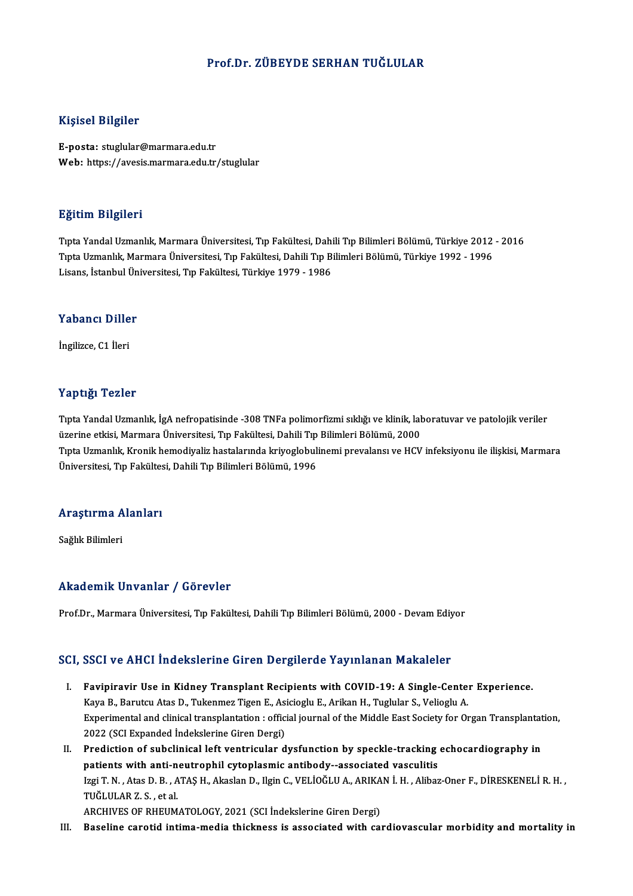#### Prof.Dr. ZÜBEYDE SERHAN TUĞLULAR

#### Kişisel Bilgiler

E-posta: stuglular@marmara.edu.tr Web: https://avesis.marmara.edu.tr/stuglular

#### Eğitim Bilgileri

**Eğitim Bilgileri**<br>Tıpta Yandal Uzmanlık, Marmara Üniversitesi, Tıp Fakültesi, Dahili Tıp Bilimleri Bölümü, Türkiye 2012 - 2016<br>Tınta Uzmanlık, Marmara Üniversitesi, Tıp Fakültesi, Dahili Tıp Bilimleri Bölümü, Türkiye 1992 Sastim Sirgirori<br>Tıpta Yandal Uzmanlık, Marmara Üniversitesi, Tıp Fakültesi, Dahili Tıp Bilimleri Bölümü, Türkiye 2012<br>Tıpta Uzmanlık, Marmara Üniversitesi, Tıp Fakültesi, Dahili Tıp Bilimleri Bölümü, Türkiye 1992 - 1996<br>L Tıpta Uzmanlık, Marmara Üniversitesi, Tıp Fakültesi, Dahili Tıp Bilimleri Bölümü, Türkiye 1992 - 1996<br>Lisans, İstanbul Üniversitesi, Tıp Fakültesi, Türkiye 1979 - 1986

## Lisans, istanbul on<br>Yabancı Diller Y<mark>abancı Dille</mark><br>İngilizce, C1 İleri

# İngilizce, C1 İleri<br>Yaptığı Tezler

Yaptığı Tezler<br>Tıpta Yandal Uzmanlık, İgA nefropatisinde -308 TNFa polimorfizmi sıklığı ve klinik, laboratuvar ve patolojik veriler<br>ÖZRED AİRSİ MARMARA ÜNİVARSİSSİ TIR Fakültesi, Dabili Tır Bilimleri Bölümü, 2000 1 üp esg. 1 52151<br>Tıpta Yandal Uzmanlık, İgA nefropatisinde -308 TNFa polimorfizmi sıklığı ve klinik, lat<br>üzerine etkisi, Marmara Üniversitesi, Tıp Fakültesi, Dahili Tıp Bilimleri Bölümü, 2000<br>Tınta Uzmanlık, Kronik hemedi Tıpta Yandal Uzmanlık, İgA nefropatisinde -308 TNFa polimorfizmi sıklığı ve klinik, laboratuvar ve patolojik veriler<br>üzerine etkisi, Marmara Üniversitesi, Tıp Fakültesi, Dahili Tıp Bilimleri Bölümü, 2000<br>Tıpta Uzmanlık, Kr üzerine etkisi, Marmara Üniversitesi, Tıp Fakültesi, Dahili Tıp<br>Tıpta Uzmanlık, Kronik hemodiyaliz hastalarında kriyoglobuli<br>Üniversitesi, Tıp Fakültesi, Dahili Tıp Bilimleri Bölümü, 1996

## <sub>oniversitesi, rip raktites</sub><br>Araştırma Alanları <mark>Araştırma A</mark><br>Sağlık Bilimleri

# Akademik Unvanlar / Görevler

Prof.Dr., Marmara Üniversitesi, Tıp Fakültesi, Dahili Tıp Bilimleri Bölümü, 2000 - Devam Ediyor

#### SCI, SSCI ve AHCI İndekslerine Giren Dergilerde Yayınlanan Makaleler

- CI, SSCI ve AHCI İndekslerine Giren Dergilerde Yayınlanan Makaleler<br>I. Favipiravir Use in Kidney Transplant Recipients with COVID-19: A Single-Center Experience.<br>Kave B. Barutau Atas D. Tukenmes Tisen E. Asisieslu E. Arika Example of the state in a state of the state of the state of the Middle Fast Science.<br>Barutcu Atas D., Tukenmez Tigen E., Asicioglu E., Arikan H., Tuglular S., Velioglu A.<br>Experimental and clinical transplantation : offici Experimental and clinical transplantation: official journal of the Middle East Society for Organ Transplantation,<br>2022 (SCI Expanded Indekslerine Giren Dergi) Kaya B., Barutcu Atas D., Tukenmez Tigen E., Asicioglu E., Arikan H., Tuglular S., Velioglu A. Experimental and clinical transplantation : official journal of the Middle East Society for Organ Transplantat<br>2022 (SCI Expanded Indekslerine Giren Dergi)<br>II. Prediction of subclinical left ventricular dysfunction by spec
- 2022 (SCI Expanded İndekslerine Giren Dergi)<br>Prediction of subclinical left ventricular dysfunction by speckle-tracking<br>patients with anti-neutrophil cytoplasmic antibody--associated vasculitis<br>Issi T.N., Ates D.B., ATAS H Prediction of subclinical left ventricular dysfunction by speckle-tracking echocardiography in<br>patients with anti-neutrophil cytoplasmic antibody--associated vasculitis<br>Izgi T. N. , Atas D. B. , ATAŞ H., Akaslan D., Ilgin **patients with anti-n<br>Izgi T. N. , Atas D. B. , A<br>TUĞLULAR Z. S. , et al.**<br>ARCUIVES OF PUEUM Izgi T. N. , Atas D. B. , ATAŞ H., Akaslan D., Ilgin C., VELİOĞLU A., ARIKA<br>TUĞLULAR Z. S. , et al.<br>ARCHIVES OF RHEUMATOLOGY, 2021 (SCI İndekslerine Giren Dergi)<br>Pasalina sanatid intima madia thisknasa iş assasiated with s TUĞLULAR Z. S. , et al.<br>ARCHIVES OF RHEUMATOLOGY, 2021 (SCI İndekslerine Giren Dergi)<br>III. Baseline carotid intima-media thickness is associated with cardiovascular morbidity and mortality in
-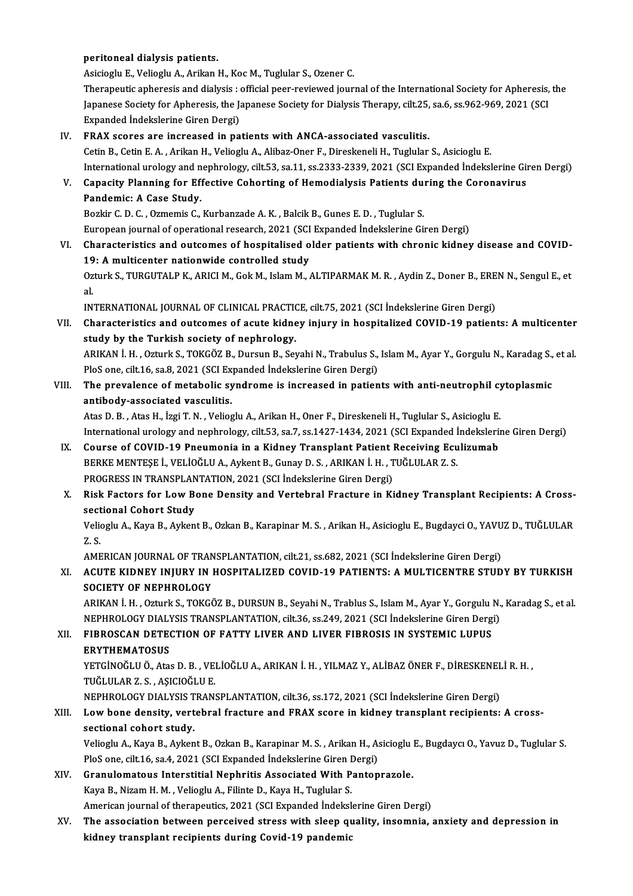#### peritoneal dialysis patients.

Asicioglu E., Velioglu A., Arikan H., Koc M., Tuglular S., Ozener C. Therapeutic apheresis and dialysis : official peer-reviewed journal of the International Society for Apheresis, the Asicioglu E., Velioglu A., Arikan H., Koc M., Tuglular S., Ozener C.<br>Therapeutic apheresis and dialysis : official peer-reviewed journal of the International Society for Apheresis,<br>Japanese Society for Apheresis, the Japan Therapeutic apheresis and dialysis :<br>Japanese Society for Apheresis, the Japanese Society for Apheresis, the Japan<br>EPAX scores are insteased in na Japanese Society for Apheresis, the Japanese Society for Dialysis Therapy, cilt.25,<br>Expanded Indekslerine Giren Dergi)<br>IV. FRAX scores are increased in patients with ANCA-associated vasculitis.<br>Cetin B. Cetin E.A., Arikan

Expanded Indekslerine Giren Dergi)<br>IV. FRAX scores are increased in patients with ANCA-associated vasculitis.<br>Cetin B., Cetin E. A. , Arikan H., Velioglu A., Alibaz-Oner F., Direskeneli H., Tuglular S., Asicioglu E. Internationalurology and nephrology, cilt.53, sa.11, ss.2333-2339,2021 (SCIExpanded İndekslerineGirenDergi) Cetin B., Cetin E. A. , Arikan H., Velioglu A., Alibaz-Oner F., Direskeneli H., Tuglular S., Asicioglu E.<br>International urology and nephrology, cilt.53, sa.11, ss.2333-2339, 2021 (SCI Expanded Indekslerine Gi<br>V. Capacity P

Pandemic: A Case Study.<br>Bozkir C. D. C., Ozmemis C., Kurbanzade A. K., Balcik B., Gunes E. D., Tuglular S. Capacity Planning for Effective Cohorting of Hemodialysis Patients du:<br>Pandemic: A Case Study.<br>Bozkir C. D. C. , Ozmemis C., Kurbanzade A. K. , Balcik B., Gunes E. D. , Tuglular S.<br>European journal of operational research, European journal of operational research, 2021 (SCI Expanded Indekslerine Giren Dergi)

VI. Characteristics and outcomes of hospitalised older patients with chronic kidney disease and COVID-19: A multicenter nationwide controlled study Characteristics and outcomes of hospitalised older patients with chronic kidney disease and COVID-<br>19: A multicenter nationwide controlled study<br>Ozturk S., TURGUTALP K., ARICI M., Gok M., Islam M., ALTIPARMAK M. R. , Aydin 19<br>0z<br>al Ozturk S., TURGUTALP K., ARICI M., Gok M., Islam M., ALTIPARMAK M. R. , Aydin Z., Doner B., ERE<br>al.<br>INTERNATIONAL JOURNAL OF CLINICAL PRACTICE, cilt.75, 2021 (SCI İndekslerine Giren Dergi)<br>Characteristics and autsomes of a

al.<br>INTERNATIONAL JOURNAL OF CLINICAL PRACTICE, cilt.75, 2021 (SCI İndekslerine Giren Dergi)<br>VII. Characteristics and outcomes of acute kidney injury in hospitalized COVID-19 patients: A multicenter<br>Andy by the Turkish INTERNATIONAL JOURNAL OF CLINICAL PRACTION<br>Characteristics and outcomes of acute kidne<br>study by the Turkish society of nephrology. Characteristics and outcomes of acute kidney injury in hospitalized COVID-19 patients: A multicenter<br>study by the Turkish society of nephrology.<br>ARIKAN İ. H. , Ozturk S., TOKGÖZ B., Dursun B., Seyahi N., Trabulus S., Islam

study by the Turkish society of nephrology.<br>ARIKAN İ. H. , Ozturk S., TOKGÖZ B., Dursun B., Seyahi N., Trabulus S.,<br>PloS one, cilt.16, sa.8, 2021 (SCI Expanded İndekslerine Giren Dergi)<br>The prevelence of metabolis syndrome ARIKAN İ. H. , Ozturk S., TOKGÖZ B., Dursun B., Seyahi N., Trabulus S., Islam M., Ayar Y., Gorgulu N., Karadag S.,<br>PloS one, cilt.16, sa.8, 2021 (SCI Expanded Indekslerine Giren Dergi)<br>VIII. The prevalence of metabolic syn

## PloS one, cilt.16, sa.8, 2021 (SCI Expanded İndekslerine Giren Dergi)<br>The prevalence of metabolic syndrome is increased in patients with anti-neutrophil cytoplasmic<br>antibody-associated vasculitis.

Atas D. B., Atas H., İzgi T. N., Velioglu A., Arikan H., Oner F., Direskeneli H., Tuglular S., Asicioglu E. antibody-associated vasculitis.<br>Atas D. B. , Atas H., İzgi T. N. , Velioglu A., Arikan H., Oner F., Direskeneli H., Tuglular S., Asicioglu E.<br>International urology and nephrology, cilt.53, sa.7, ss.1427-1434, 2021 (SCI Exp Atas D. B., Atas H., İzgi T. N., Velioglu A., Arikan H., Oner F., Direskeneli H., Tuglular S., Asicioglu E.<br>International urology and nephrology, cilt.53, sa.7, ss.1427-1434, 2021 (SCI Expanded Indekslerii<br>IX. Course of CO

- International urology and nephrology, cilt.53, sa.7, ss.1427-1434, 2021 (SCI Expanded İ<br>Course of COVID-19 Pneumonia in a Kidney Transplant Patient Receiving Ecu<br>BERKE MENTESE İ., VELİOĞLU A., Aykent B., Gunay D. S. , ARIK Course of COVID-19 Pneumonia in a Kidney Transplant Patient I<br>BERKE MENTEȘE İ., VELİOĞLU A., Aykent B., Gunay D. S. , ARIKAN İ. H. , T<br>PROGRESS IN TRANSPLANTATION, 2021 (SCI İndekslerine Giren Dergi)<br>Piek Foctors for Low B BERKE MENTEȘE İ., VELİOĞLU A., Aykent B., Gunay D. S. , ARIKAN İ. H. , TUĞLULAR Z. S.<br>PROGRESS IN TRANSPLANTATION, 2021 (SCI İndekslerine Giren Dergi)<br>X. Risk Factors for Low Bone Density and Vertebral Fracture in Kidn
- **PROGRESS IN TRANSPLAN<br>Risk Factors for Low Bender<br>Sectional Cohort Study<br>Veliegly A. Kave B. Avken** Risk Factors for Low Bone Density and Vertebral Fracture in Kidney Transplant Recipients: A Cross-<br>sectional Cohort Study<br>Velioglu A., Kaya B., Aykent B., Ozkan B., Karapinar M. S. , Arikan H., Asicioglu E., Bugdayci O., Y

sect<br>Velio<br>Z. S. Velioglu A., Kaya B., Aykent B., Ozkan B., Karapinar M. S. , Arikan H., Asicioglu E., Bugdayci O., YAVU<br>Z. S.<br>AMERICAN JOURNAL OF TRANSPLANTATION, cilt.21, ss.682, 2021 (SCI İndekslerine Giren Dergi)<br>ACUTE KIDNEY INUIDY IN

AMERICAN JOURNAL OF TRANSPLANTATION, cilt.21, ss.682, 2021 (SCI Indekslerine Giren Dergi)

## Z. S.<br>AMERICAN JOURNAL OF TRANSPLANTATION, cilt.21, ss.682, 2021 (SCI İndekslerine Giren Dergi)<br>XI. ACUTE KIDNEY INJURY IN HOSPITALIZED COVID-19 PATIENTS: A MULTICENTRE STUDY BY TURKISH<br>SOCIETY OF NEPHROLOGY ACUTE KIDNEY INJURY IN HOSPITALIZED COVID-19 PATIENTS: A MULTICENTRE STUDY BY TURKISH<br>SOCIETY OF NEPHROLOGY<br>ARIKAN İ. H. , Ozturk S., TOKGÖZ B., DURSUN B., Seyahi N., Trablus S., Islam M., Ayar Y., Gorgulu N., Karadag S.,

SOCIETY OF NEPHROLOGY<br>ARIKAN İ. H. , Ozturk S., TOKGÖZ B., DURSUN B., Seyahi N., Trablus S., Islam M., Ayar Y., Gorgulu N.,<br>NEPHROLOGY DIALYSIS TRANSPLANTATION, cilt.36, ss.249, 2021 (SCI İndekslerine Giren Dergi)<br>FIRROSCA ARIKAN İ. H. , Ozturk S., TOKGÖZ B., DURSUN B., Seyahi N., Trablus S., Islam M., Ayar Y., Gorgulu I<br>NEPHROLOGY DIALYSIS TRANSPLANTATION, cilt.36, ss.249, 2021 (SCI İndekslerine Giren Derg<br>XII. FIBROSCAN DETECTION OF FATTY

# NEPHROLOGY DIAL<mark>)</mark><br>FIBROSCAN DETE<br>ERYTHEMATOSUS<br><sup>VETCINOČI II Ö. Ata</sup>

ERYTHEMATOSUS<br>YETGİNOĞLU Ö., Atas D. B. , VELİOĞLU A., ARIKAN İ. H. , YILMAZ Y., ALİBAZ ÖNER F., DİRESKENELİ R. H. , TUĞLULAR Z. S., AŞICIOĞLU E. YETGİNOĞLU Ö., Atas D. B. , VELİOĞLU A., ARIKAN İ. H. , YILMAZ Y., ALİBAZ ÖNER F., DİRESKENEL<br>TUĞLULAR Z. S. , AŞICIOĞLU E.<br>NEPHROLOGY DIALYSIS TRANSPLANTATION, cilt.36, ss.172, 2021 (SCI İndekslerine Giren Dergi)<br>Law bana

### XIII. Low bone density, vertebral fracture and FRAX score in kidney transplant recipients: A cross-<br>sectional cohort study. NEPHROLOGY DIALYSIS T<br>Low bone density, vert<br>sectional cohort study.<br>Veliegly A. Kaya B. Aykan Low bone density, vertebral fracture and FRAX score in kidney transplant recipients: A cross-<br>sectional cohort study.<br>Velioglu A., Kaya B., Aykent B., Ozkan B., Karapinar M. S. , Arikan H., Asicioglu E., Bugdaycı O., Yavuz

sectional cohort study.<br>Velioglu A., Kaya B., Aykent B., Ozkan B., Karapinar M. S. , Arikan H., A.<br>PloS one, cilt.16, sa.4, 2021 (SCI Expanded İndekslerine Giren Dergi)<br>Cranulemateus Interatitial Nephritis Associated With Velioglu A., Kaya B., Aykent B., Ozkan B., Karapinar M. S., Arikan H., Asicioglu<br>PloS one, cilt.16, sa.4, 2021 (SCI Expanded Indekslerine Giren Dergi)<br>XIV. Granulomatous Interstitial Nephritis Associated With Pantoprazole.

- PloS one, cilt.16, sa.4, 2021 (SCI Expanded İndekslerine Giren Dergi)<br>Granulomatous Interstitial Nephritis Associated With Pantoprazole.<br>Kaya B., Nizam H. M. , Velioglu A., Filinte D., Kaya H., Tuglular S.<br>American journal Granulomatous Interstitial Nephritis Associated With Pantoprazole.<br>Kaya B., Nizam H. M. , Velioglu A., Filinte D., Kaya H., Tuglular S.<br>American journal of therapeutics, 2021 (SCI Expanded Indekslerine Giren Dergi)<br>The ass Kaya B., Nizam H. M. , Velioglu A., Filinte D., Kaya H., Tuglular S.<br>American journal of therapeutics, 2021 (SCI Expanded Indekslerine Giren Dergi)<br>XV. The association between perceived stress with sleep quality, insomnia,
- American journal of therapeutics, 2021 (SCI Expanded İndeksl<br>The association between perceived stress with sleep qı<br>kidney transplant recipients during Covid-19 pandemic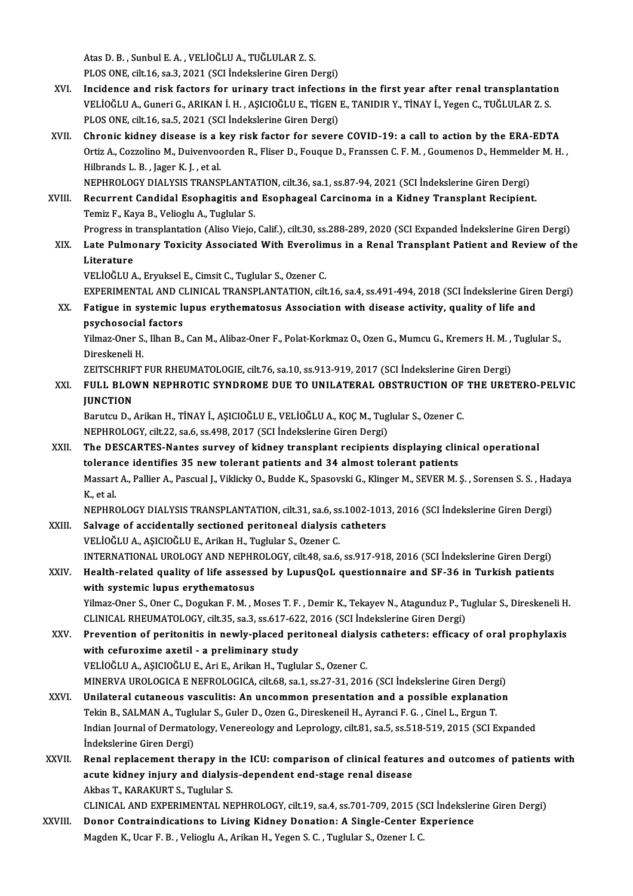Atas D.B., Sunbul E.A., VELİOĞLU A., TUĞLULAR Z.S.

PLOS ONE, cilt.16, sa.3, 2021 (SCI İndekslerine Giren Dergi)

- XVI. Incidence and risk factors for urinary tract infections in the first year after renal transplantation PLOS ONE, cilt.16, sa.3, 2021 (SCI İndekslerine Giren Dergi)<br>Incidence and risk factors for urinary tract infections in the first year after renal transplantatio<br>VELİOĞLU A., Guneri G., ARIKAN İ. H. , AŞICIOĞLU E., TİGEN E Incidence and risk factors for urinary tract infection<br>VELİOĞLU A., Guneri G., ARIKAN İ. H. , AŞICIOĞLU E., TİGEN<br>PLOS ONE, cilt.16, sa.5, 2021 (SCI İndekslerine Giren Dergi)<br>Chronis kidnov disease is a kov risk fastor for
- PLOS ONE, cilt.16, sa.5, 2021 (SCI Indekslerine Giren Dergi)<br>XVII. Chronic kidney disease is a key risk factor for severe COVID-19: a call to action by the ERA-EDTA PLOS ONE, cilt.16, sa.5, 2021 (SCI İndekslerine Giren Dergi)<br>Chronic kidney disease is a key risk factor for severe COVID-19: a call to action by the ERA-EDTA<br>Ortiz A., Cozzolino M., Duivenvoorden R., Fliser D., Fouque D., Chronic kidney disease is a l<br>Ortiz A., Cozzolino M., Duivenvoo<br>Hilbrands L. B. , Jager K. J. , et al.<br>NEPHROLOCY DIALVSIS TRANSI Ortiz A., Cozzolino M., Duivenvoorden R., Fliser D., Fouque D., Franssen C. F. M. , Goumenos D., Hemmelde<br>Hilbrands L. B. , Jager K. J. , et al.<br>NEPHROLOGY DIALYSIS TRANSPLANTATION, cilt.36, sa.1, ss.87-94, 2021 (SCI İndek

NEPHROLOGY DIALYSIS TRANSPLANTATION, cilt.36, sa.1, ss.87-94, 2021 (SCI İndekslerine Giren Dergi)

Hilbrands L. B. , Jager K. J. , et al.<br>NEPHROLOGY DIALYSIS TRANSPLANTATION, cilt.36, sa.1, ss.87-94, 2021 (SCI İndekslerine Giren Dergi)<br>XVIII. Recurrent Candidal Esophagitis and Esophageal Carcinoma in a Kidney Transplant Temiz F., Kaya B., Velioglu A., Tuglular S.<br>Progress in transplantation (Aliso Viejo, Calif.), cilt.30, ss.288-289, 2020 (SCI Expanded İndekslerine Giren Dergi)<br>XIX. Late Pulmonary Toxicity Associated With Everolimus i

Progress in transplantation (Aliso Viejo, Calif.), cilt.30, ss.288-289, 2020 (SCI Expanded İndekslerine Giren Dergi) Progress in<br><mark>Late Pulmo</mark><br>Literature<br>VELIOČLU A

VELİOĞLUA.,EryukselE.,CimsitC.,Tuglular S.,Ozener C. EXPERIMENTAL AND CLINICAL TRANSPLANTATION, cilt.16, sa.4, ss.491-494, 2018 (SCI İndekslerine Giren Dergi) VELİOĞLU A., Eryuksel E., Cimsit C., Tuglular S., Ozener C.<br>EXPERIMENTAL AND CLINICAL TRANSPLANTATION, cilt.16, sa.4, ss.491-494, 2018 (SCI İndekslerine Gire:<br>XX. Fatigue in systemic lupus erythematosus Association with di

## EXPERIMENTAL AND C<br>Fatigue in systemic lu<br>psychosocial factors<br><sup>Vilmor</sup> Oper S. <sup>Ubon B</sup>. Fatigue in systemic lupus erythematosus Association with disease activity, quality of life and<br>psychosocial factors<br>Yilmaz-Oner S., Ilhan B., Can M., Alibaz-Oner F., Polat-Korkmaz O., Ozen G., Mumcu G., Kremers H. M. , Tug

ps<mark>ychosocial</mark><br>Yilmaz-Oner S.<br>Direskeneli H.<br>ZEITSCHDIET Yilmaz-Oner S., Ilhan B., Can M., Alibaz-Oner F., Polat-Korkmaz O., Ozen G., Mumcu G., Kremers H. M. ,<br>Direskeneli H.<br>ZEITSCHRIFT FUR RHEUMATOLOGIE, cilt.76, sa.10, ss.913-919, 2017 (SCI İndekslerine Giren Dergi)<br>EIILL BLO

### Direskeneli H.<br>ZEITSCHRIFT FUR RHEUMATOLOGIE, cilt.76, sa.10, ss.913-919, 2017 (SCI İndekslerine Giren Dergi)<br>XXI. FULL BLOWN NEPHROTIC SYNDROME DUE TO UNILATERAL OBSTRUCTION OF THE URETERO-PELVIC<br>UINCTION ZEITSCHRIF<br>FULL BLOV<br>JUNCTION<br><sup>Porutuu</sub> D</sup> FULL BLOWN NEPHROTIC SYNDROME DUE TO UNILATERAL OBSTRUCTION OF<br>JUNCTION<br>Barutcu D., Arikan H., TİNAY İ., AŞICIOĞLU E., VELİOĞLU A., KOÇ M., Tuglular S., Ozener C.<br>NEPUROLOCY silt 22.00 6.00.499.2017 (SCLİndokslarine Ciron

JUNCTION<br>Barutcu D., Arikan H., TİNAY İ., AŞICIOĞLU E., VELİOĞLU A., KOÇ M., Tug<br>NEPHROLOGY, cilt.22, sa.6, ss.498, 2017 (SCI İndekslerine Giren Dergi)<br>The DESCARTES Nantes survey of kidney transplant resiniants

### Barutcu D., Arikan H., TİNAY İ., AŞICIOĞLU E., VELİOĞLU A., KOÇ M., Tuglular S., Ozener C.<br>NEPHROLOGY, cilt.22, sa.6, ss.498, 2017 (SCI İndekslerine Giren Dergi)<br>XXII. The DESCARTES-Nantes survey of kidney transplant recip NEPHROLOGY, cilt.22, sa.6, ss.498, 2017 (SCI İndekslerine Giren Dergi)<br>The DESCARTES-Nantes survey of kidney transplant recipients displaying clin<br>tolerance identifies 35 new tolerant patients and 34 almost tolerant patien The DESCARTES-Nantes survey of kidney transplant recipients displaying clinical operational<br>tolerance identifies 35 new tolerant patients and 34 almost tolerant patients<br>Massart A., Pallier A., Pascual J., Viklicky O., Bud tolerance identifies 35 new tolerant patients and 34 almost tolerant patients<br>Massart A., Pallier A., Pascual J., Viklicky O., Budde K., Spasovski G., Klinger M., SEVER M.<br>K., et al. Massart A., Pallier A., Pascual J., Viklicky O., Budde K., Spasovski G., Klinger M., SEVER M. Ş. , Sorensen S. S. , Had<br>K., et al.<br>NEPHROLOGY DIALYSIS TRANSPLANTATION, cilt.31, sa.6, ss.1002-1013, 2016 (SCI İndekslerine Gi

NEPHROLOGY DIALYSIS TRANSPLANTATION, cilt.31, sa.6, ss.1002-1013, 2016 (SCI İndekslerine Giren Dergi)<br>XXIII. Salvage of accidentally sectioned peritoneal dialysis catheters VELİOĞLUA.,AŞICIOĞLUE.,ArikanH.,Tuglular S.,Ozener C. Salvage of accidentally sectioned peritoneal dialysis catheters<br>VELİOĞLU A., AŞICIOĞLU E., Arikan H., Tuglular S., Ozener C.<br>INTERNATIONAL UROLOGY AND NEPHROLOGY, cilt.48, sa.6, ss.917-918, 2016 (SCI İndekslerine Giren Der VELİOĞLU A., AŞICIOĞLU E., Arikan H., Tuglular S., Ozener C.<br>INTERNATIONAL UROLOGY AND NEPHROLOGY, cilt.48, sa.6, ss.917-918, 2016 (SCI İndekslerine Giren Dergi)<br>XXIV. Health-related quality of life assessed by LupusQo

## INTERNATIONAL UROLOGY AND NEPHF<br>Health-related quality of life assess<br>with systemic lupus erythematosus<br><sup>Vilmog</sup> Oper S. Oper G. Degular E.M., N Health-related quality of life assessed by LupusQoL questionnaire and SF-36 in Turkish patients<br>with systemic lupus erythematosus<br>Yilmaz-Oner S., Oner C., Dogukan F. M. , Moses T. F. , Demir K., Tekayev N., Atagunduz P., T

with systemic lupus erythematosus<br>Yilmaz-Oner S., Oner C., Dogukan F. M. , Moses T. F. , Demir K., Tekayev N., Atagunduz P., T.<br>CLINICAL RHEUMATOLOGY, cilt.35, sa.3, ss.617-622, 2016 (SCI İndekslerine Giren Dergi)<br>Preventi Yilmaz-Oner S., Oner C., Dogukan F. M. , Moses T. F. , Demir K., Tekayev N., Atagunduz P., Tuglular S., Direskeneli H<br>CLINICAL RHEUMATOLOGY, cilt.35, sa.3, ss.617-622, 2016 (SCI İndekslerine Giren Dergi)<br>XXV. Prevention of

### CLINICAL RHEUMATOLOGY, cilt.35, sa.3, ss.617-622, 2016 (SCI İndekslerine Giren Dergi)<br>Prevention of peritonitis in newly-placed peritoneal dialysis catheters: efficacy<br>with cefuroxime axetil - a preliminary study<br>VELİOĞLU Prevention of peritonitis in newly-placed peritoneal dialys<br>with cefuroxime axetil - a preliminary study<br>VELİOĞLU A., AŞICIOĞLU E., Ari E., Arikan H., Tuglular S., Ozener C.<br>MINERVA UROLOCICA E NEEROLOCICA silt 69. ss 1. s with cefuroxime axetil - a preliminary study<br>VELİOĞLU A., AŞICIOĞLU E., Ari E., Arikan H., Tuglular S., Ozener C.<br>MINERVA UROLOGICA E NEFROLOGICA, cilt.68, sa.1, ss.27-31, 2016 (SCI İndekslerine Giren Dergi)<br>Unilateral aut

- VELİOĞLU A., AŞICIOĞLU E., Ari E., Arikan H., Tuglular S., Ozener C.<br>MINERVA UROLOGICA E NEFROLOGICA, cilt.68, sa.1, ss.27-31, 2016 (SCI İndekslerine Giren Dergi)<br>XXVI. Unilateral cutaneous vasculitis: An uncommon presenta MINERVA UROLOGICA E NEFROLOGICA, cilt.68, sa.1, ss.27-31, 2016 (SCI İndekslerine Giren Derg<br>Unilateral cutaneous vasculitis: An uncommon presentation and a possible explanation<br>Tekin B., SALMAN A., Tuglular S., Guler D., O Unilateral cutaneous vasculitis: An uncommon presentation and a possible explanation<br>Tekin B., SALMAN A., Tuglular S., Guler D., Ozen G., Direskeneil H., Ayranci F. G. , Cinel L., Ergun T.<br>Indian Journal of Dermatology, Ve Tekin B., SALMAN A., Tuglular S., Guler D., Ozen G., Direskeneil H., Ayranci F. G., Cinel L., Ergun T. Indian Journal of Dermatology, Venereology and Leprology, cilt.81, sa.5, ss.518-519, 2015 (SCI Expanded<br>
indekslerine Giren Dergi)<br>
XXVII. Renal replacement therapy in the ICU: comparison of clinical features and outcomes
- İndekslerine Giren Dergi)<br>Renal replacement therapy in the ICU: comparison of clinical feature<br>acute kidney injury and dialysis-dependent end-stage renal disease<br>Althes T. KARAKURT S. Tuglular S. Renal replacement therapy in t<br>acute kidney injury and dialysi<br>Akbas T., KARAKURT S., Tuglular S.<br>CLINICAL AND EXPERIMENTAL NE acute kidney injury and dialysis-dependent end-stage renal disease<br>Akbas T., KARAKURT S., Tuglular S.<br>CLINICAL AND EXPERIMENTAL NEPHROLOGY, cilt.19, sa.4, ss.701-709, 2015 (SCI İndekslerine Giren Dergi)

XXVIII. Donor Contraindications to Living Kidney Donation: A Single-Center Experience Magden K., Ucar F. B., Velioglu A., Arikan H., Yegen S. C., Tuglular S., Ozener I. C.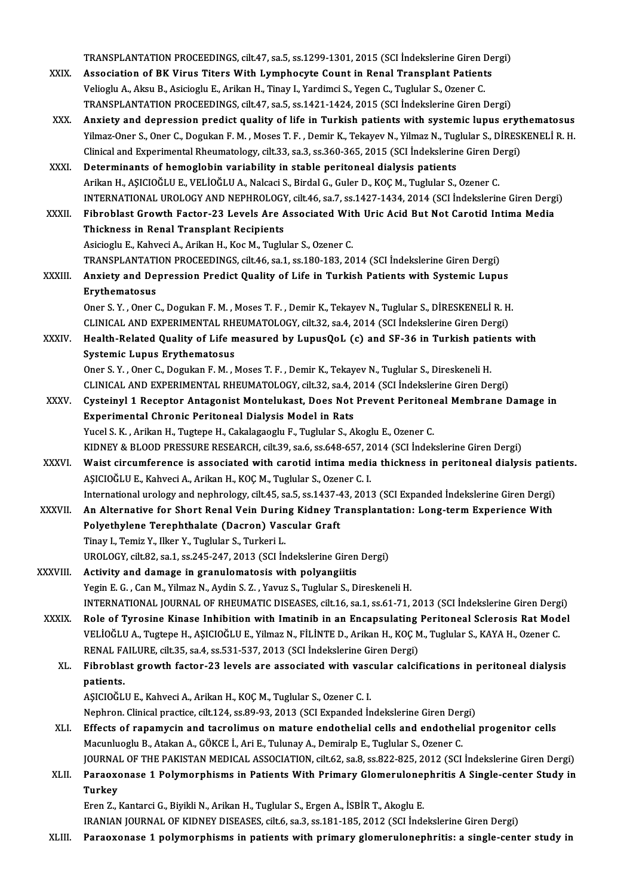TRANSPLANTATION PROCEEDINGS, cilt.47, sa.5, ss.1299-1301, 2015 (SCI İndekslerine Giren Dergi)<br>Association of BK Vinus Titors With Lymphoeyte Count in Bonal Transplant Betiants TRANSPLANTATION PROCEEDINGS, cilt.47, sa.5, ss.1299-1301, 2015 (SCI Indekslerine Giren De<br>XXIX. Association of BK Virus Titers With Lymphocyte Count in Renal Transplant Patients TRANSPLANTATION PROCEEDINGS, cilt.47, sa.5, ss.1299-1301, 2015 (SCI İndekslerine Giren I<br>Association of BK Virus Titers With Lymphocyte Count in Renal Transplant Patient<br>Velioglu A., Aksu B., Asicioglu E., Arikan H., Tinay Association of BK Virus Titers With Lymphocyte Count in Renal Transplant Patients<br>Velioglu A., Aksu B., Asicioglu E., Arikan H., Tinay I., Yardimci S., Yegen C., Tuglular S., Ozener C.<br>TRANSPLANTATION PROCEEDINGS, cilt.47, Velioglu A., Aksu B., Asicioglu E., Arikan H., Tinay I., Yardimci S., Yegen C., Tuglular S., Ozener C.<br>TRANSPLANTATION PROCEEDINGS, cilt.47, sa.5, ss.1421-1424, 2015 (SCI Indekslerine Giren Dergi)<br>XXX. Anxiety and depressi Yilmaz-Oner S., Oner C., Dogukan F. M., Moses T. F., Demir K., Tekayev N., Yilmaz N., Tuglular S., DİRESKENELİR.H. Anxiety and depression predict quality of life in Turkish patients with systemic lupus eryt<br>Yilmaz-Oner S., Oner C., Dogukan F. M. , Moses T. F. , Demir K., Tekayev N., Yilmaz N., Tuglular S., DİRESI<br>Clinical and Experimen Yilmaz-Oner S., Oner C., Dogukan F. M. , Moses T. F. , Demir K., Tekayev N., Yilmaz N., Tug<br>Clinical and Experimental Rheumatology, cilt.33, sa.3, ss.360-365, 2015 (SCI İndekslerin<br>XXXI. Determinants of hemoglobin variabil Clinical and Experimental Rheumatology, cilt.33, sa.3, ss.360-365, 2015 (SCI İndekslerine Giren D.)<br>Determinants of hemoglobin variability in stable peritoneal dialysis patients<br>Arikan H., AŞICIOĞLU E., VELİOĞLU A., Nalcac Determinants of hemoglobin variability in stable peritoneal dialysis patients<br>Arikan H., AŞICIOĞLU E., VELİOĞLU A., Nalcaci S., Birdal G., Guler D., KOÇ M., Tuglular S., Ozener C.<br>INTERNATIONAL UROLOGY AND NEPHROLOGY, cilt Arikan H., AŞICIOĞLU E., VELİOĞLU A., Nalcaci S., Birdal G., Guler D., KOÇ M., Tuglular S., Ozener C.<br>INTERNATIONAL UROLOGY AND NEPHROLOGY, cilt.46, sa.7, ss.1427-1434, 2014 (SCI İndekslerine Giren Derg<br>XXXII. Fibroblast G INTERNATIONAL UROLOGY AND NEPHROLOGY<br>Fibroblast Growth Factor-23 Levels Are *f*<br>Thickness in Renal Transplant Recipients Fibroblast Growth Factor-23 Levels Are Associated With Uric Acid But Not Carotid Intima Media<br>Thickness in Renal Transplant Recipients<br>Asicioglu E., Kahveci A., Arikan H., Koc M., Tuglular S., Ozener C. Thickness in Renal Transplant Recipients<br>Asicioglu E., Kahveci A., Arikan H., Koc M., Tuglular S., Ozener C.<br>TRANSPLANTATION PROCEEDINGS, cilt.46, sa.1, ss.180-183, 2014 (SCI İndekslerine Giren Dergi)<br>Anviety and Dennessia Asicioglu E., Kahveci A., Arikan H., Koc M., Tuglular S., Ozener C.<br>TRANSPLANTATION PROCEEDINGS, cilt.46, sa.1, ss.180-183, 2014 (SCI İndekslerine Giren Dergi)<br>XXXIII. Anxiety and Depression Predict Quality of Life in TRANSPLANTATI<br>Anxiety and De<br>Erythematosus<br>Oper S. Y. Oper G Anxiety and Depression Predict Quality of Life in Turkish Patients with Systemic Lupus<br>Erythematosus<br>Oner S.Y. , Oner C., Dogukan F. M. , Moses T. F. , Demir K., Tekayev N., Tuglular S., DİRESKENELİ R. H.<br>CLINICAL AND EXPE Erythematosus<br>Oner S. Y. , Oner C., Dogukan F. M. , Moses T. F. , Demir K., Tekayev N., Tuglular S., DİRESKENELİ R. H<br>CLINICAL AND EXPERIMENTAL RHEUMATOLOGY, cilt.32, sa.4, 2014 (SCI İndekslerine Giren Dergi)<br>Health Pelate Oner S. Y. , Oner C., Dogukan F. M. , Moses T. F. , Demir K., Tekayev N., Tuglular S., DİRESKENELİ R. H.<br>CLINICAL AND EXPERIMENTAL RHEUMATOLOGY, cilt.32, sa.4, 2014 (SCI İndekslerine Giren Dergi)<br>XXXIV. Health-Related Qual CLINICAL AND EXPERIMENTAL RH<br>Health-Related Quality of Life m<br>Systemic Lupus Erythematosus Health-Related Quality of Life measured by LupusQoL (c) and SF-36 in Turkish pations.<br>Systemic Lupus Erythematosus<br>Oner S.Y., Oner C., Dogukan F. M., Moses T. F., Demir K., Tekayev N., Tuglular S., Direskeneli H.<br>CLINICAL Systemic Lupus Erythematosus<br>Oner S. Y. , Oner C., Dogukan F. M. , Moses T. F. , Demir K., Tekayev N., Tuglular S., Direskeneli H.<br>CLINICAL AND EXPERIMENTAL RHEUMATOLOGY, cilt.32, sa.4, 2014 (SCI İndekslerine Giren Dergi) Oner S. Y. , Oner C., Dogukan F. M. , Moses T. F. , Demir K., Tekayev N., Tuglular S., Direskeneli H.<br>CLINICAL AND EXPERIMENTAL RHEUMATOLOGY, cilt.32, sa.4, 2014 (SCI İndekslerine Giren Dergi)<br>XXXV. Cysteinyl 1 Receptor An Experimental Chronic Peritoneal Dialysis Model in Rats<br>Yucel S. K., Arikan H., Tugtepe H., Cakalagaoglu F., Tuglular S., Akoglu E., Ozener C. Cysteinyl 1 Receptor Antagonist Montelukast, Does Not Prevent Peritone<br>Experimental Chronic Peritoneal Dialysis Model in Rats<br>Yucel S. K. , Arikan H., Tugtepe H., Cakalagaoglu F., Tuglular S., Akoglu E., Ozener C.<br>KIDNEV & Experimental Chronic Peritoneal Dialysis Model in Rats<br>Yucel S. K. , Arikan H., Tugtepe H., Cakalagaoglu F., Tuglular S., Akoglu E., Ozener C.<br>KIDNEY & BLOOD PRESSURE RESEARCH, cilt.39, sa.6, ss.648-657, 2014 (SCI İndeksle XXXVI. Waist circumference is associated with carotid intima media thickness in peritoneal dialysis patients.<br>AŞICIOĞLU E., Kahveci A., Arikan H., KOÇ M., Tuglular S., Ozener C. I. KIDNEY & BLOOD PRESSURE RESEARCH, cilt.39, sa.6, ss.648-657, 2<br>Waist circumference is associated with carotid intima medi<br>AŞICIOĞLU E., Kahveci A., Arikan H., KOÇ M., Tuglular S., Ozener C. I.<br>International urelogy and per Waist circumference is associated with carotid intima media thickness in peritoneal dialysis patie<br>AŞICIOĞLU E., Kahveci A., Arikan H., KOÇ M., Tuglular S., Ozener C. I.<br>International urology and nephrology, cilt.45, sa.5, AŞICIOĞLU E., Kahveci A., Arikan H., KOÇ M., Tuglular S., Ozener C. I.<br>International urology and nephrology, cilt.45, sa.5, ss.1437-43, 2013 (SCI Expanded İndekslerine Giren Dergi)<br>XXXVII. An Alternative for Short Renal Ve International urology and nephrology, cilt.45, sa.5, ss.1437-4<br>An Alternative for Short Renal Vein During Kidney Ti<br>Polyethylene Terephthalate (Dacron) Vascular Graft<br>Tinov L. Tomiz V. Wan V. Tughlan S. Turkovi L. An Alternative for Short Renal Vein During Kidney Transplantation: Long-term Experience With<br>Polyethylene Terephthalate (Dacron) Vascular Graft<br>Tinay I., Temiz Y., Ilker Y., Tuglular S., Turkeri L. Polyethylene Terephthalate (Dacron) Vascular Graft<br>Tinay I., Temiz Y., Ilker Y., Tuglular S., Turkeri L.<br>UROLOGY, cilt.82, sa.1, ss.245-247, 2013 (SCI İndekslerine Giren Dergi)<br>Activity and damage in granulamatesis with po Tinay I., Temiz Y., Ilker Y., Tuglular S., Turkeri L.<br>UROLOGY, cilt.82, sa.1, ss.245-247, 2013 (SCI indekslerine Giren<br>XXXVIII. Activity and damage in granulomatosis with polyangiitis<br>Vegin E.C. Cap M. Vilmar N. Ardin S. 7 Activity and damage in granulomatosis with polyangiitis<br>Yegin E.G., Can M., Yilmaz N., Aydin S. Z., Yavuz S., Tuglular S., Direskeneli H. INTERNATIONAL JOURNAL OF RHEUMATIC DISEASES, cilt.16, sa.1, ss.61-71, 2013 (SCI İndekslerine Giren Dergi) XXXIX. Role of Tyrosine Kinase Inhibition with Imatinib in an Encapsulating Peritoneal Sclerosis RatModel INTERNATIONAL JOURNAL OF RHEUMATIC DISEASES, cilt.16, sa.1, ss.61-71, 2013 (SCI İndekslerine Giren Derg<br>Role of Tyrosine Kinase Inhibition with Imatinib in an Encapsulating Peritoneal Sclerosis Rat Mod<br>VELİOĞLU A., Tugtepe Role of Tyrosine Kinase Inhibition with Imatinib in an Encapsulating<br>VELİOĞLU A., Tugtepe H., AŞICIOĞLU E., Yilmaz N., FİLİNTE D., Arikan H., KOÇ M<br>RENAL FAILURE, cilt.35, sa.4, ss.531-537, 2013 (SCI İndekslerine Giren Der VELİOĞLU A., Tugtepe H., AŞICIOĞLU E., Yilmaz N., FİLİNTE D., Arikan H., KOÇ M., Tuglular S., KAYA H., Ozener C.<br>RENAL FAILURE, cilt.35, sa.4, ss.531-537, 2013 (SCI İndekslerine Giren Dergi)<br>XL. Fibroblast growth factor-23 RENAL FAILURE, cilt.35, sa.4, ss.531-537, 2013 (SCI Indekslerine Giren Dergi)<br>Fibroblast growth factor-23 levels are associated with vascular calci:<br>patients.<br>ASICIOĞLU E., Kahveci A., Arikan H., KOÇ M., Tuglular S., Ozene XL. Fibroblast growth factor-23 levels are associated with vascular calcifications in peritoneal dialysis patients.<br>AŞICIOĞLU E., Kahveci A., Arikan H., KOÇ M., Tuglular S., Ozener C. I.<br>Nephron. Clinical practice, cilt.124, ss.89-93, 2013 (SCI Expanded İndekslerine Giren Dergi)<br>Effects of ranamyajn and tasrelimus en mature an XLI. Effects of rapamycin and tacrolimus on mature endothelial cells and endothelial progenitor cells<br>Macunluoglu B., Atakan A., GÖKCE İ., Ari E., Tulunay A., Demiralp E., Tuglular S., Ozener C. Nephron. Clinical practice, cilt.124, ss.89-93, 2013 (SCI Expanded İndekslerine Giren Der<br>Effects of rapamycin and tacrolimus on mature endothelial cells and endothel<br>Macunluoglu B., Atakan A., GÖKCE İ., Ari E., Tulunay A. JOURNAL OF THE PAKISTAN MEDICAL ASSOCIATION, cilt.62, sa.8, ss.822-825, 2012 (SCI İndekslerine Giren Dergi) Macunluoglu B., Atakan A., GÖKCE İ., Ari E., Tulunay A., Demiralp E., Tuglular S., Ozener C.<br>JOURNAL OF THE PAKISTAN MEDICAL ASSOCIATION, cilt.62, sa.8, ss.822-825, 2012 (SCI İndekslerine Giren Dergi)<br>XLII. Paraoxonase JOURNA<br><mark>Paraox</mark><br>Turkey<br><sup>Fron 7</sup> Paraoxonase 1 Polymorphisms in Patients With Primary Glomerulone<br>Turkey<br>Eren Z., Kantarci G., Biyikli N., Arikan H., Tuglular S., Ergen A., İSBİR T., Akoglu E.<br>IRANIAN JOURNAL OE KIDNEY DISEASES si<sup>lt 6,</sup> 23, 28,191,195, 2 Turkey<br>Eren Z., Kantarci G., Biyikli N., Arikan H., Tuglular S., Ergen A., İSBİR T., Akoglu E.<br>IRANIAN JOURNAL OF KIDNEY DISEASES, cilt.6, sa.3, ss.181-185, 2012 (SCI İndekslerine Giren Dergi) XLIII. Paraoxonase 1 polymorphisms in patients with primary glomerulonephritis: a single-center study in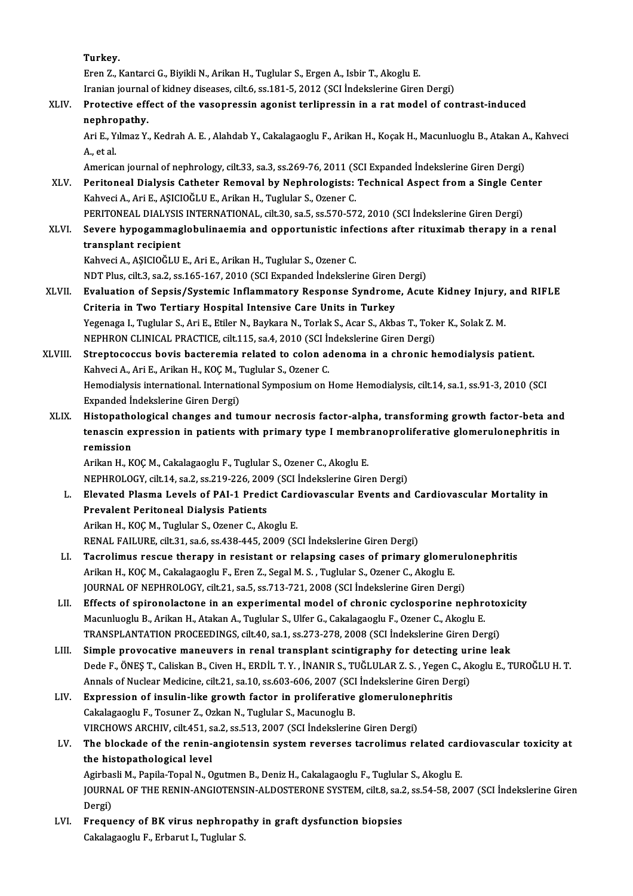Turkey.

ErenZ.,KantarciG.,BiyikliN.,ArikanH.,Tuglular S.,ErgenA., IsbirT.,AkogluE. Iranian journal of kidney diseases, cilt.6, ss.181-5, 2012 (SCI İndekslerine Giren Dergi)

## Eren Z., Kantarci G., Biyikli N., Arikan H., Tuglular S., Ergen A., Isbir T., Akoglu E.<br>Iranian journal of kidney diseases, cilt.6, ss.181-5, 2012 (SCI İndekslerine Giren Dergi)<br>XLIV. Protective effect of the vasopressin a **Iranian journal<br>Protective eff<br>nephropathy.**<br>Ari E. Vilmaz V.

Protective effect of the vasopressin agonist terlipressin in a rat model of contrast-induced<br>nephropathy.<br>Ari E., Yılmaz Y., Kedrah A. E. , Alahdab Y., Cakalagaoglu F., Arikan H., Koçak H., Macunluoglu B., Atakan A., Kahve nephropathy.<br>Ari E., Yılmaz Y., Kedrah A. E. , Alahdab Y., Cakalagaoglu F., Arikan H., Koçak H., Macunluoglu B., Atakan A.<br>A., et al.<br>American journal of nephrology, cilt.33, sa.3, ss.269-76, 2011 (SCI Expanded İndekslerin Ari E., Yılmaz Y., Kedrah A. E. , Alahdab Y., Cakalagaoglu F., Arikan H., Koçak H., Macunluoglu B., Atakan A<br>A., et al.<br>American journal of nephrology, cilt.33, sa.3, ss.269-76, 2011 (SCI Expanded İndekslerine Giren Dergi)

A., et al.<br>American journal of nephrology, cilt.33, sa.3, ss.269-76, 2011 (SCI Expanded İndekslerine Giren Dergi)<br>XLV. Peritoneal Dialysis Catheter Removal by Nephrologists: Technical Aspect from a Single Center<br>Kehyesi KahveciA.,AriE.,AŞICIOĞLUE.,ArikanH.,Tuglular S.,Ozener C. Peritoneal Dialysis Catheter Removal by Nephrologists: Technical Aspect from a Single Cer<br>Kahveci A., Ari E., AŞICIOĞLU E., Arikan H., Tuglular S., Ozener C.<br>PERITONEAL DIALYSIS INTERNATIONAL, cilt.30, sa.5, ss.570-572, 20

PERITONEAL DIALYSIS INTERNATIONAL, cilt.30, sa.5, ss.570-572, 2010 (SCI İndekslerine Giren Dergi)

XLVI. Severe hypogammaglobulinaemia and opportunistic infections after rituximab therapy in a renal

KahveciA.,AŞICIOĞLUE.,AriE.,ArikanH.,Tuglular S.,Ozener C. transplant recipient<br>Kahveci A., AŞICIOĞLU E., Ari E., Arikan H., Tuglular S., Ozener C.<br>NDT Plus, cilt.3, sa.2, ss.165-167, 2010 (SCI Expanded İndekslerine Giren Dergi)<br>Fyalustion of Songis (Systemia Inflammatory Besnange

Kahveci A., AŞICIOĞLU E., Ari E., Arikan H., Tuglular S., Ozener C.<br>NDT Plus, cilt.3, sa.2, ss.165-167, 2010 (SCI Expanded İndekslerine Giren Dergi)<br>XLVII. Evaluation of Sepsis/Systemic Inflammatory Response Syndrome, NDT Plus, cilt.3, sa.2, ss.165-167, 2010 (SCI Expanded Indekslerine Giren<br>Evaluation of Sepsis/Systemic Inflammatory Response Syndrome<br>Criteria in Two Tertiary Hospital Intensive Care Units in Turkey<br>Yezanaza L. Turkkha S. Evaluation of Sepsis/Systemic Inflammatory Response Syndrome, Acute Kidney Injury,<br>Criteria in Two Tertiary Hospital Intensive Care Units in Turkey<br>Yegenaga I., Tuglular S., Ari E., Etiler N., Baykara N., Torlak S., Acar S Criteria in Two Tertiary Hospital Intensive Care Units in Turkey<br>Yegenaga I., Tuglular S., Ari E., Etiler N., Baykara N., Torlak S., Acar S., Akbas T., Toko<br>NEPHRON CLINICAL PRACTICE, cilt.115, sa.4, 2010 (SCI İndekslerine Yegenaga I., Tuglular S., Ari E., Etiler N., Baykara N., Torlak S., Acar S., Akbas T., Toker K., Solak Z. M.<br>NEPHRON CLINICAL PRACTICE, cilt.115, sa.4, 2010 (SCI indekslerine Giren Dergi)<br>XLVIII. Streptococcus bovis bacter

NEPHRON CLINICAL PRACTICE, cilt.115, sa.4, 2010 (SCI İn<br>Streptococcus bovis bacteremia related to colon ao<br>Kahveci A., Ari E., Arikan H., KOÇ M., Tuglular S., Ozener C.<br>Hamodialysis international International Sympesium on Streptococcus bovis bacteremia related to colon adenoma in a chronic hemodialysis patient.<br>Kahveci A., Ari E., Arikan H., KOÇ M., Tuglular S., Ozener C.<br>Hemodialysis international. International Symposium on Home Hemodialy Kahveci A., Ari E., Arikan H., KOÇ M., Tuglular S., Ozener C.<br>Hemodialysis international. International Symposium on Home Hemodialysis, cilt.14, sa.1, ss.91-3, 2010 (SCI<br>Expanded İndekslerine Giren Dergi) Hemodialysis international. International Symposium on Home Hemodialysis, cilt.14, sa.1, ss.91-3, 2010 (SCI<br>Expanded Indekslerine Giren Dergi)<br>XLIX. Histopathological changes and tumour necrosis factor-alpha, transforming

Expanded İndekslerine Giren Dergi)<br>Histopathological changes and tumour necrosis factor-alpha, transforming growth factor-beta and<br>tenascin expression in patients with primary type I membranoproliferative glomerulonephriti Histopatho<br>tenascin ex<br>remission<br>Arikan H K tenascin expression in patients with primary type I membranoproliferative glomerulonephritis in<br>remission<br>Arikan H., KOÇ M., Cakalagaoglu F., Tuglular S., Ozener C., Akoglu E.

NEPHROLOGY, cilt.14, sa.2, ss.219-226,2009 (SCI İndekslerineGirenDergi)

- Arikan H., KOÇ M., Cakalagaoglu F., Tuglular S., Ozener C., Akoglu E.<br>NEPHROLOGY, cilt.14, sa.2, ss.219-226, 2009 (SCI İndekslerine Giren Dergi)<br>L. Elevated Plasma Levels of PAI-1 Predict Cardiovascular Events and Cardiova NEPHROLOGY, cilt.14, sa.2, ss.219-226, 200<br>Elevated Plasma Levels of PAI-1 Predi<br>Prevalent Peritoneal Dialysis Patients<br>Arikan H. KOCM, Tughdar S. Ozener G. Ak Elevated Plasma Levels of PAI-1 Predict Care<br>Prevalent Peritoneal Dialysis Patients<br>Arikan H., KOÇ M., Tuglular S., Ozener C., Akoglu E.<br>PENAL EAU UPE sit 21 sa 6 sa 428 445 2000 (St Prevalent Peritoneal Dialysis Patients<br>Arikan H., KOÇ M., Tuglular S., Ozener C., Akoglu E.<br>RENAL FAILURE, cilt.31, sa.6, ss.438-445, 2009 (SCI İndekslerine Giren Dergi)
- LI. Tacrolimus rescue therapy in resistant or relapsing cases of primary glomerulonephritis RENAL FAILURE, cilt.31, sa.6, ss.438-445, 2009 (SCI İndekslerine Giren Dergi)<br>Tacrolimus rescue therapy in resistant or relapsing cases of primary glomer<br>Arikan H., KOÇ M., Cakalagaoglu F., Eren Z., Segal M. S. , Tuglular Tacrolimus rescue therapy in resistant or relapsing cases of primary glomerul<br>Arikan H., KOÇ M., Cakalagaoglu F., Eren Z., Segal M. S. , Tuglular S., Ozener C., Akoglu E.<br>JOURNAL OF NEPHROLOGY, cilt.21, sa.5, ss.713-721, 2 Arikan H., KOÇ M., Cakalagaoglu F., Eren Z., Segal M. S. , Tuglular S., Ozener C., Akoglu E.<br>JOURNAL OF NEPHROLOGY, cilt.21, sa.5, ss.713-721, 2008 (SCI İndekslerine Giren Dergi)<br>LII. Effects of spironolactone in an experi
- JOURNAL OF NEPHROLOGY, cilt.21, sa.5, ss.713-721, 2008 (SCI Indekslerine Giren Dergi)<br>Effects of spironolactone in an experimental model of chronic cyclosporine nephrotoxicity<br>Macunluoglu B., Arikan H., Atakan A., Tuglular Effects of spironolactone in an experimental model of chronic cyclosporine nephroto:<br>Macunluoglu B., Arikan H., Atakan A., Tuglular S., Ulfer G., Cakalagaoglu F., Ozener C., Akoglu E.<br>TRANSPLANTATION PROCEEDINGS, cilt.40, Macunluoglu B., Arikan H., Atakan A., Tuglular S., Ulfer G., Cakalagaoglu F., Ozener C., Akoglu E.<br>TRANSPLANTATION PROCEEDINGS, cilt.40, sa.1, ss.273-278, 2008 (SCI Indekslerine Giren Dergi)<br>LIII. Simple provocative maneuv
- TRANSPLANTATION PROCEEDINGS, cilt.40, sa.1, ss.273-278, 2008 (SCI İndekslerine Giren Dergi)<br>Simple provocative maneuvers in renal transplant scintigraphy for detecting urine leak<br>Dede F., ÖNEŞ T., Caliskan B., Civen H., ER Simple provocative maneuvers in renal transplant scintigraphy for detecting ur<br>Dede F., ÖNEŞ T., Caliskan B., Civen H., ERDİL T. Y. , İNANIR S., TUĞLULAR Z. S. , Yegen C., Al<br>Annals of Nuclear Medicine, cilt.21, sa.10, ss. Dede F., ÖNEŞ T., Caliskan B., Civen H., ERDİL T. Y., İNANIR S., TUĞLULAR Z. S., Yegen C<br>Annals of Nuclear Medicine, cilt.21, sa.10, ss.603-606, 2007 (SCI İndekslerine Giren De<br>LIV. Expression of insulin-like growth factor
- Annals of Nuclear Medicine, cilt.21, sa.10, ss.603-606, 2007 (SCI<br>Expression of insulin-like growth factor in proliferative<br>Cakalagaoglu F., Tosuner Z., Ozkan N., Tuglular S., Macunoglu B.<br>VIBCHOWS ABCHIV, silt 451, sa.2, Expression of insulin-like growth factor in proliferative glomerulone<br>Cakalagaoglu F., Tosuner Z., Ozkan N., Tuglular S., Macunoglu B.<br>VIRCHOWS ARCHIV, cilt.451, sa.2, ss.513, 2007 (SCI İndekslerine Giren Dergi)<br>The blaska Cakalagaoglu F., Tosuner Z., Ozkan N., Tuglular S., Macunoglu B.<br>VIRCHOWS ARCHIV, cilt451, sa.2, ss.513, 2007 (SCI İndekslerine Giren Dergi)<br>LV. The blockade of the renin-angiotensin system reverses tacrolimus related

### VIRCHOWS ARCHIV, cilt.451, sa.2, ss.513, 2007 (SCI İndekslerine Giren Dergi)<br>The blockade of the renin-angiotensin system reverses tacrolimus related car<br>the histopathological level<br>Agirbasli M., Papila-Topal N., Ogutmen B The blockade of the renin-angiotensin system reverses tacrolimus related car<br>the histopathological level<br>Agirbasli M., Papila-Topal N., Ogutmen B., Deniz H., Cakalagaoglu F., Tuglular S., Akoglu E.<br>JOUPMAL OF THE RENIN ANC

the histopathological level<br>Agirbasli M., Papila-Topal N., Ogutmen B., Deniz H., Cakalagaoglu F., Tuglular S., Akoglu E.<br>JOURNAL OF THE RENIN-ANGIOTENSIN-ALDOSTERONE SYSTEM, cilt.8, sa.2, ss.54-58, 2007 (SCI İndekslerine G Agirbas<br>JOURN<br>Dergi)<br>Eregu JOURNAL OF THE RENIN-ANGIOTENSIN-ALDOSTERONE SYSTEM, cilt.8, sa.2<br>Dergi)<br>LVI. Frequency of BK virus nephropathy in graft dysfunction biopsies<br>Calcelogoogly E. Exhamid Tughday S

Dergi)<br>Fr<mark>equency of BK virus nephropat</mark><br>Cakalagaoglu F., Erbarut I., Tuglular S.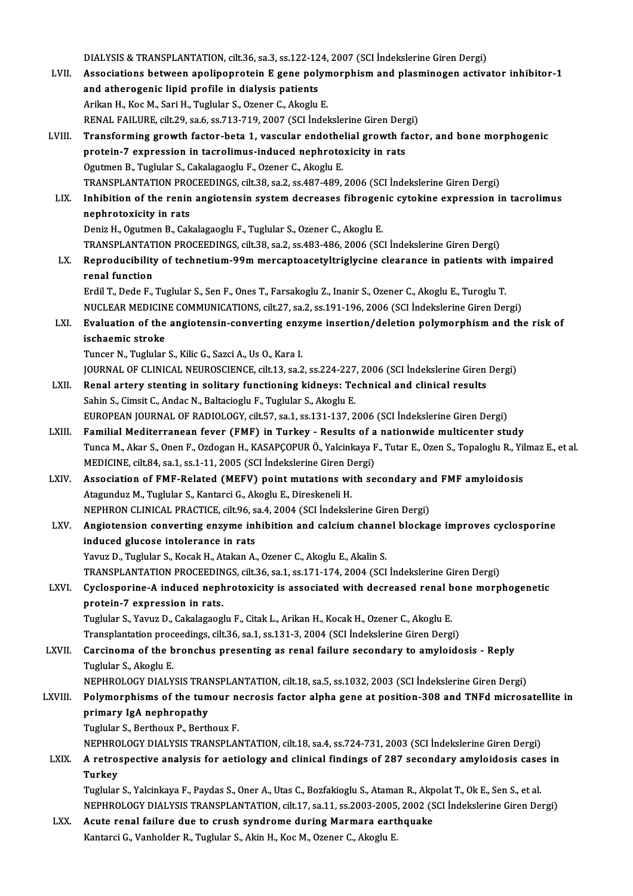DIALYSIS & TRANSPLANTATION, cilt.36, sa.3, ss.122-124, 2007 (SCI İndekslerine Giren Dergi)<br>Associatione between anolinennetein E gene nolumennbism and pleaminegen estiye LVII. Associations between apolipoprotein E gene polymorphism and plasminogen activator inhibitor-1<br>and atherogenic lipid profile in dialysis patients DIALYSIS & TRANSPLANTATION, cilt.36, sa.3, ss.122-12<br>Associations between apolipoprotein E gene poly<br>and atherogenic lipid profile in dialysis patients<br>Arikan H. Kee M. Sari H. Tughlar S. Ozanor G. Alsochu Arikan H., Koc M., Sari H., Tuglular S., Ozener C., Akoglu E. and atherogenic lipid profile in dialysis patients<br>Arikan H., Koc M., Sari H., Tuglular S., Ozener C., Akoglu E.<br>RENAL FAILURE, cilt.29, sa.6, ss.713-719, 2007 (SCI İndekslerine Giren Dergi)<br>Transforming grouth fastor beta LVIII. Transforming growth factor-beta 1, vascular endothelial growth factor, and bone morphogenic RENAL FAILURE, cilt.29, sa.6, ss.713-719, 2007 (SCI indekslerine Giren Derg<br>Transforming growth factor-beta 1, vascular endothelial growth fa<br>protein-7 expression in tacrolimus-induced nephrotoxicity in rats<br>Ogutmon B. Tug protein-7 expression in tacrolimus-induced nephrotoxicity in rats Ogutmen B., Tuglular S., Cakalagaoglu F., Ozener C., Akoglu E. TRANSPLANTATIONPROCEEDINGS, cilt.38, sa.2, ss.487-489,2006 (SCI İndekslerineGirenDergi) Ogutmen B., Tuglular S., Cakalagaoglu F., Ozener C., Akoglu E.<br>TRANSPLANTATION PROCEEDINGS, cilt.38, sa.2, ss.487-489, 2006 (SCI İndekslerine Giren Dergi)<br>LIX. Inhibition of the renin angiotensin system decreases fibrogeni TRANSPLANTATION PRO<br>Inhibition of the renin<br>nephrotoxicity in rats<br>Doniz H. Ogutmon B. Col Inhibition of the renin angiotensin system decreases fibrogen<br>nephrotoxicity in rats<br>Deniz H., Ogutmen B., Cakalagaoglu F., Tuglular S., Ozener C., Akoglu E.<br>TRANSPLANTATION PROCEEDINGS, silt 28, ss.2, ss.482,486,2006.(SC nephrotoxicity in rats<br>Deniz H., Ogutmen B., Cakalagaoglu F., Tuglular S., Ozener C., Akoglu E.<br>TRANSPLANTATION PROCEEDINGS, cilt.38, sa.2, ss.483-486, 2006 (SCI İndekslerine Giren Dergi) Deniz H., Ogutmen B., Cakalagaoglu F., Tuglular S., Ozener C., Akoglu E.<br>TRANSPLANTATION PROCEEDINGS, cilt.38, sa.2, ss.483-486, 2006 (SCI İndekslerine Giren Dergi)<br>LX. Reproducibility of technetium-99m mercaptoacetyltrigl TRANSPLANTAT<br>Reproducibility<br>renal function<br>Erdil T. Dodo E Reproducibility of technetium-99m mercaptoacetyltriglycine clearance in patients with<br>renal function<br>Erdil T., Dede F., Tuglular S., Sen F., Ones T., Farsakoglu Z., Inanir S., Ozener C., Akoglu E., Turoglu T.<br>NUCLEAR MEDIC renal function<br>Erdil T., Dede F., Tuglular S., Sen F., Ones T., Farsakoglu Z., Inanir S., Ozener C., Akoglu E., Turoglu T.<br>NUCLEAR MEDICINE COMMUNICATIONS, cilt.27, sa.2, ss.191-196, 2006 (SCI İndekslerine Giren Dergi) Erdil T., Dede F., Tuglular S., Sen F., Ones T., Farsakoglu Z., Inanir S., Ozener C., Akoglu E., Turoglu T.<br>NUCLEAR MEDICINE COMMUNICATIONS, cilt.27, sa.2, ss.191-196, 2006 (SCI Indekslerine Giren Dergi)<br>LXI. Evaluatio NUCLEAR MEDICIN<br>Evaluation of the<br>ischaemic stroke ischaemic stroke<br>Tuncer N., Tuglular S., Kilic G., Sazci A., Us O., Kara I. ischaemic stroke<br>Tuncer N., Tuglular S., Kilic G., Sazci A., Us O., Kara I.<br>JOURNAL OF CLINICAL NEUROSCIENCE, cilt.13, sa.2, ss.224-227, 2006 (SCI İndekslerine Giren Dergi)<br>Penal artery stanting in solitary functioning kid Tuncer N., Tuglular S., Kilic G., Sazci A., Us O., Kara I.<br>JOURNAL OF CLINICAL NEUROSCIENCE, cilt.13, sa.2, ss.224-227, 2006 (SCI İndekslerine Giren<br>LXII. Renal artery stenting in solitary functioning kidneys: Technical an Renal artery stenting in solitary functioning kidneys: Technical and clinical results<br>Sahin S., Cimsit C., Andac N., Baltacioglu F., Tuglular S., Akoglu E. Renal artery stenting in solitary functioning kidneys: Technical and clinical results<br>Sahin S., Cimsit C., Andac N., Baltacioglu F., Tuglular S., Akoglu E.<br>EUROPEAN JOURNAL OF RADIOLOGY, cilt.57, sa.1, ss.131-137, 2006 (SC Sahin S., Cimsit C., Andac N., Baltacioglu F., Tuglular S., Akoglu E.<br>EUROPEAN JOURNAL OF RADIOLOGY, cilt.57, sa.1, ss.131-137, 2006 (SCI Indekslerine Giren Dergi)<br>LXIII. Familial Mediterranean fever (FMF) in Turkey - Resu EUROPEAN JOURNAL OF RADIOLOGY, cilt.57, sa.1, ss.131-137, 2006 (SCI İndekslerine Giren Dergi)<br>Familial Mediterranean fever (FMF) in Turkey - Results of a nationwide multicenter study<br>Tunca M., Akar S., Onen F., Ozdogan H., Familial Mediterranean fever (FMF) in Turkey - Results of a<br>Tunca M., Akar S., Onen F., Ozdogan H., KASAPÇOPUR Ö., Yalcinkaya F<br>MEDICINE, cilt.84, sa.1, ss.1-11, 2005 (SCI İndekslerine Giren Dergi)<br>Association of EME Belat Tunca M., Akar S., Onen F., Ozdogan H., KASAPÇOPUR Ö., Yalcinkaya F., Tutar E., Ozen S., Topaloglu R., Yil<br>MEDICINE, cilt.84, sa.1, ss.1-11, 2005 (SCI Indekslerine Giren Dergi)<br>LXIV. Association of FMF-Related (MEFV) point MEDICINE, cilt.84, sa.1, ss.1-11, 2005 (SCI Indekslerine Giren Dergi)<br>Association of FMF-Related (MEFV) point mutations with se<br>Atagunduz M., Tuglular S., Kantarci G., Akoglu E., Direskeneli H. Association of FMF-Related (MEFV) point mutations with secondary and FMF amyloidosis LXV. Angiotension converting enzyme inhibition and calcium channel blockage improves cyclosporine induced glucose intolerance in rats NEPHRON CLINICAL PRACTICE, cilt.96, sa.4, 2004 (SCI İndekslerine Giren Dergi) Yavuz D., Tuglular S., Kocak H., Atakan A., Ozener C., Akoglu E., Akalin S. induced glucose intolerance in rats<br>Yavuz D., Tuglular S., Kocak H., Atakan A., Ozener C., Akoglu E., Akalin S.<br>TRANSPLANTATION PROCEEDINGS, cilt.36, sa.1, ss.171-174, 2004 (SCI İndekslerine Giren Dergi)<br>Cyclosporina A ind Yavuz D., Tuglular S., Kocak H., Atakan A., Ozener C., Akoglu E., Akalin S.<br>TRANSPLANTATION PROCEEDINGS, cilt.36, sa.1, ss.171-174, 2004 (SCI İndekslerine Giren Dergi)<br>LXVI. Cyclosporine-A induced nephrotoxicity is associa TRANSPLANTATION PROCEEDIN<br>Cyclosporine-A induced neph<br>protein-7 expression in rats.<br>Turbler S. Varur D. Celtalages: Cyclosporine-A induced nephrotoxicity is associated with decreased renal bone morphogenetic<br>protein-7 expression in rats.<br>Tuglular S., Yavuz D., Cakalagaoglu F., Citak L., Arikan H., Kocak H., Ozener C., Akoglu E. protein-7 expression in rats.<br>Tuglular S., Yavuz D., Cakalagaoglu F., Citak L., Arikan H., Kocak H., Ozener C., Akoglu E.<br>Transplantation proceedings, cilt.36, sa.1, ss.131-3, 2004 (SCI İndekslerine Giren Dergi)<br>Carsinoma LXVII. Carcinoma of the bronchus presenting as renal failure secondary to amyloidosis - Reply<br>Tuglular S., Akoglu E. Transplantation proc<br>Carcinoma of the b<br>Tuglular S., Akoglu E.<br>NEPUPOLOCY DIALY Carcinoma of the bronchus presenting as renal failure secondary to amyloidosis - Reply<br>Tuglular S., Akoglu E.<br>NEPHROLOGY DIALYSIS TRANSPLANTATION, cilt.18, sa.5, ss.1032, 2003 (SCI İndekslerine Giren Dergi)<br>Polymorphisms o Tuglular S., Akoglu E.<br>NEPHROLOGY DIALYSIS TRANSPLANTATION, cilt.18, sa.5, ss.1032, 2003 (SCI İndekslerine Giren Dergi)<br>LXVIII. Polymorphisms of the tumour necrosis factor alpha gene at position-308 and TNFd microsatellite NEPHROLOGY DIALYSIS TRAI<br>Polymorphisms of the tum<br>primary IgA nephropathy<br>Tughlar S. Pertheuy B. Perth Polymorphisms of the tumour ne<br>primary IgA nephropathy<br>Tuglular S., Berthoux P., Berthoux F.<br>NEPUPOLOCY DIALYSIS TRANSPLAN primary IgA nephropathy<br>Tuglular S., Berthoux P., Berthoux F.<br>NEPHROLOGY DIALYSIS TRANSPLANTATION, cilt.18, sa.4, ss.724-731, 2003 (SCI İndekslerine Giren Dergi) LXIX. A retrospective analysis for aetiology and clinical findings of 287 secondary amyloidosis cases in **Turkey** Tuglular S., Yalcinkaya F., Paydas S., Oner A., Utas C., Bozfakioglu S., Ataman R., Akpolat T., Ok E., Sen S., et al. Turkey<br>Tuglular S., Yalcinkaya F., Paydas S., Oner A., Utas C., Bozfakioglu S., Ataman R., Akpolat T., Ok E., Sen S., et al<br>NEPHROLOGY DIALYSIS TRANSPLANTATION, cilt.17, sa.11, ss.2003-2005, 2002 (SCI İndekslerine Giren De LXX. Acute renal failure due to crush syndrome during Marmara earthquake<br>Kantarci G., Vanholder R., Tuglular S., Akin H., Koc M., Ozener C., Akoglu E. NEPHROLOGY DIALYSIS TRANSPLANTATION, cilt.17, sa.11, ss.2003-2005<br><mark>Acute renal failure due to crush syndrome during Marmara eart</mark><br>Kantarci G., Vanholder R., Tuglular S., Akin H., Koc M., Ozener C., Akoglu E.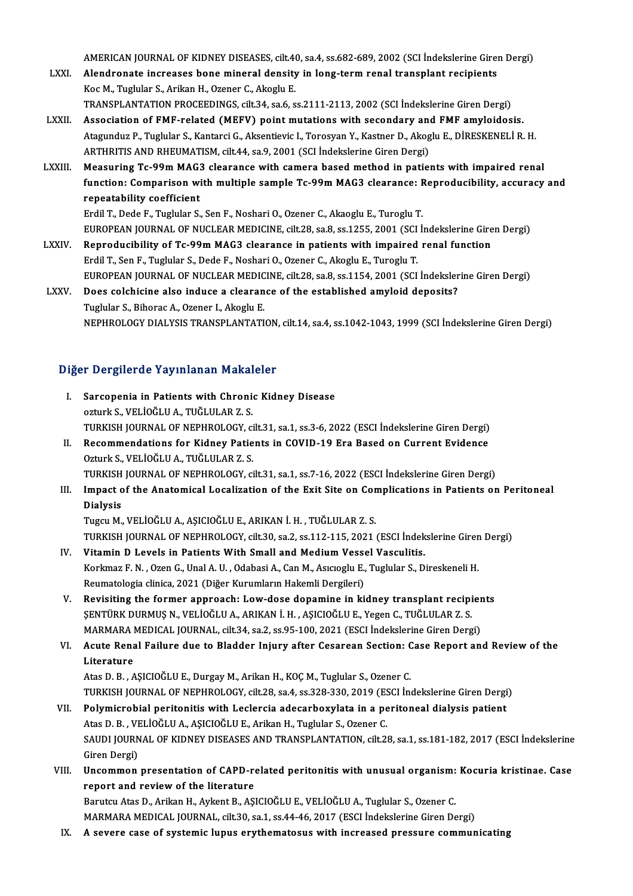AMERICAN JOURNAL OF KIDNEY DISEASES, cilt.40, sa.4, ss.682-689, 2002 (SCI İndekslerine Giren Dergi)<br>Alandranata inaraasasa bana minaral dansity in lang tarm ranal transplant rasiniants

- LXXI. Alendronate increases bone mineral density in long-term renal transplant recipients<br>Koc M., Tuglular S., Arikan H., Ozener C., Akoglu E. AMERICAN JOURNAL OF KIDNEY DISEASES, cilt.44<br>Alendronate increases bone mineral density<br>Koc M., Tuglular S., Arikan H., Ozener C., Akoglu E.<br>TRANSPLANTATION PROCEEDINCS, silt 24, 20 6, 8 TRANSPLANTATIONPROCEEDINGS, cilt.34, sa.6, ss.2111-2113,2002 (SCI İndekslerineGirenDergi)
- LXXII. Association of FMF-related (MEFV) point mutations with secondary and FMF amyloidosis. TRANSPLANTATION PROCEEDINGS, cilt.34, sa.6, ss.2111-2113, 2002 (SCI İndekslerine Giren Dergi)<br>Association of FMF-related (MEFV) point mutations with secondary and FMF amyloidosis.<br>Atagunduz P., Tuglular S., Kantarci G., Ak Association of FMF-related (MEFV) point mutations with secondary an<br>Atagunduz P., Tuglular S., Kantarci G., Aksentievic I., Torosyan Y., Kastner D., Akog<br>ARTHRITIS AND RHEUMATISM, cilt.44, sa.9, 2001 (SCI İndekslerine Gire Atagunduz P., Tuglular S., Kantarci G., Aksentievic I., Torosyan Y., Kastner D., Akoglu E., DİRESKENELİ R. H.<br>ARTHRITIS AND RHEUMATISM, cilt.44, sa.9, 2001 (SCI İndekslerine Giren Dergi)<br>LXXIII. Measuring Tc-99m MAG3 clear
- ARTHRITIS AND RHEUMATISM, cilt.44, sa.9, 2001 (SCI İndekslerine Giren Dergi)<br>Measuring Tc-99m MAG3 clearance with camera based method in patients with impaired renal<br>function: Comparison with multiple sample Tc-99m MAG3 cl Measuring Tc-99m MAG:<br>function: Comparison wi<br>repeatability coefficient<br>Frdil T. Dade E. Turbler S. function: Comparison with multiple sample Tc-99m MAG3 clearance: F<br>repeatability coefficient<br>Erdil T., Dede F., Tuglular S., Sen F., Noshari O., Ozener C., Akaoglu E., Turoglu T.<br>EUROPEAN JOURNAL OF NUCLEAR MEDICINE silt 2 repeatability coefficient<br>Erdil T., Dede F., Tuglular S., Sen F., Noshari O., Ozener C., Akaoglu E., Turoglu T.<br>EUROPEAN JOURNAL OF NUCLEAR MEDICINE, cilt.28, sa.8, ss.1255, 2001 (SCI İndekslerine Giren Dergi)<br>Bennadusibil
	-
- Erdil T., Dede F., Tuglular S., Sen F., Noshari O., Ozener C., Akaoglu E., Turoglu T.<br>EUROPEAN JOURNAL OF NUCLEAR MEDICINE, cilt.28, sa.8, ss.1.255, 2001 (SCI Indekslerine Gire<br>LXXIV. Reproducibility of Tc-99m MAG3 clearan Reproducibility of Tc-99m MAG3 clearance in patients with impaired renal function<br>Erdil T., Sen F., Tuglular S., Dede F., Noshari O., Ozener C., Akoglu E., Turoglu T. Reproducibility of Tc-99m MAG3 clearance in patients with impaired renal function<br>Erdil T., Sen F., Tuglular S., Dede F., Noshari O., Ozener C., Akoglu E., Turoglu T.<br>EUROPEAN JOURNAL OF NUCLEAR MEDICINE, cilt.28, sa.8, ss Erdil T., Sen F., Tuglular S., Dede F., Noshari O., Ozener C., Akoglu E., Turoglu T.<br>EUROPEAN JOURNAL OF NUCLEAR MEDICINE, cilt.28, sa.8, ss.1154, 2001 (SCI İndeksler<br>LXXV. Does colchicine also induce a clearance of the es
- EUROPEAN JOURNAL OF NUCLEAR MEDIC<br>Does colchicine also induce a clearan<br>Tuglular S., Bihorac A., Ozener I., Akoglu E.<br>NEPHROLOCY DIALYSIS TRANSPLANTATI Does colchicine also induce a clearance of the established amyloid deposits?<br>Tuglular S., Bihorac A., Ozener I., Akoglu E.<br>NEPHROLOGY DIALYSIS TRANSPLANTATION, cilt.14, sa.4, ss.1042-1043, 1999 (SCI İndekslerine Giren Derg

#### Diğer Dergilerde Yayınlanan Makaleler

- Iger Dergilerde Yayınlanan Makaleler<br>I. Sarcopenia in Patients with Chronic Kidney Disease<br>Arturk S. VELIOČLILA, TUČLILAP 7 S. ozturka S. Januarda Sarcopenia in Patients with Chronic<br>Sarcopenia in Patients with Chronic<br>STIDVISH JOURNAL OF NEPHROLOCY ozturk S., VELİOĞLU A., TUĞLULAR Z. S.<br>TURKISH JOURNAL OF NEPHROLOGY, cilt.31, sa.1, ss.3-6, 2022 (ESCI İndekslerine Giren Dergi) ozturk S., VELİOĞLU A., TUĞLULAR Z. S.<br>TURKISH JOURNAL OF NEPHROLOGY, cilt.31, sa.1, ss.3-6, 2022 (ESCI İndekslerine Giren Dergi)<br>II. Recommendations for Kidney Patients in COVID-19 Era Based on Current Evidence<br>Osturk S.
- TURKISH JOURNAL OF NEPHROLOGY, ci<br>Recommendations for Kidney Patie<br>Ozturk S., VELİOĞLU A., TUĞLULAR Z. S.<br>TURKISH JOURNAL OF NEPHROLOGY ci Recommendations for Kidney Patients in COVID-19 Era Based on Current Evidence<br>Ozturk S., VELİOĞLU A., TUĞLULAR Z. S.<br>TURKISH JOURNAL OF NEPHROLOGY, cilt.31, sa.1, ss.7-16, 2022 (ESCI İndekslerine Giren Dergi)<br>Impact of the Ozturk S., VELİOĞLU A., TUĞLULAR Z. S.<br>TURKISH JOURNAL OF NEPHROLOGY, cilt.31, sa.1, ss.7-16, 2022 (ESCI İndekslerine Giren Dergi)<br>III. Impact of the Anatomical Localization of the Exit Site on Complications in Patients on
- TURKISH<br>Impact c<br>Dialysis<br>Tugay M Dialysis<br>Tugcu M., VELİOĞLU A., AŞICIOĞLU E., ARIKAN İ. H. , TUĞLULAR Z. S.
- Dialysis<br>Tugcu M., VELİOĞLU A., AŞICIOĞLU E., ARIKAN İ. H. , TUĞLULAR Z. S.<br>TURKISH JOURNAL OF NEPHROLOGY, cilt.30, sa.2, ss.112-115, 2021 (ESCI İndekslerine Giren Dergi)<br>Vitamin D. Lavela in Batianta With Small and Madium Tugcu M., VELİOĞLU A., AŞICIOĞLU E., ARIKAN İ. H. , TUĞLULAR Z. S.<br>TURKISH JOURNAL OF NEPHROLOGY, cilt.30, sa.2, ss.112-115, 2021 (ESCI İndek<br>IV. Vitamin D Levels in Patients With Small and Medium Vessel Vasculitis.<br>Korkur
- TURKISH JOURNAL OF NEPHROLOGY, cilt.30, sa.2, ss.112-115, 2021 (ESCI İndekslerine Giren<br>Vitamin D Levels in Patients With Small and Medium Vessel Vasculitis.<br>Korkmaz F. N. , Ozen G., Unal A. U. , Odabasi A., Can M., Asıcıo IV. Vitamin D Levels in Patients With Small and Medium Vessel Vasculitis.<br>Korkmaz F. N. , Ozen G., Unal A. U. , Odabasi A., Can M., Asıcıoglu E., Tuglular S., Direskeneli H.<br>Reumatologia clinica, 2021 (Diğer Kurumların Hak Korkmaz F. N. , Ozen G., Unal A. U. , Odabasi A., Can M., Asıcıoglu E., Tuglular S., Direskeneli H.<br>Reumatologia clinica, 2021 (Diğer Kurumların Hakemli Dergileri)<br>V. Revisiting the former approach: Low-dose dopamine in ki
- ŞENTÜRK DURMUŞ N., VELİOĞLU A., ARIKAN İ. H. , AŞICIOĞLU E., Yegen C., TUĞLULAR Z. S.<br>MARMARA MEDICAL JOURNAL, cilt.34, sa.2, ss.95-100, 2021 (ESCI İndekslerine Giren Dergi) Revisiting the former approach: Low-dose dopamine in kidney transplant recipier<br>ŞENTÜRK DURMUŞ N., VELİOĞLU A., ARIKAN İ. H. , AŞICIOĞLU E., Yegen C., TUĞLULAR Z. S.<br>MARMARA MEDICAL JOURNAL, cilt.34, sa.2, ss.95-100, 2021 ŞENTÜRK DURMUŞ N., VELİOĞLU A., ARIKAN İ. H. , AŞICIOĞLU E., Yegen C., TUĞLULAR Z. S.<br>MARMARA MEDICAL JOURNAL, cilt.34, sa.2, ss.95-100, 2021 (ESCI İndekslerine Giren Dergi)<br>VI. Acute Renal Failure due to Bladder Injur
- MARMARA<br>**Acute Rena<br>Literature**<br>Atas D. B. A Acute Renal Failure due to Bladder Injury after Cesarean Section: C<br>Literature<br>Atas D. B. , AŞICIOĞLU E., Durgay M., Arikan H., KOÇ M., Tuglular S., Ozener C.<br>TURKISH JOURNAL OF NERHROLOCY sit 28 ss 4 ss 229 220 2019 (ESCL Literature<br>Atas D. B. , AŞICIOĞLU E., Durgay M., Arikan H., KOÇ M., Tuglular S., Ozener C.<br>TURKISH JOURNAL OF NEPHROLOGY, cilt.28, sa.4, ss.328-330, 2019 (ESCI İndekslerine Giren Dergi)<br>Polymiarabial peritenitis with Lesle

- Atas D. B., AŞICIOĞLU E., Durgay M., Arikan H., KOÇ M., Tuglular S., Ozener C.<br>TURKISH JOURNAL OF NEPHROLOGY, cilt.28, sa.4, ss.328-330, 2019 (ESCI İndekslerine Giren Dergi<br>VII. Polymicrobial peritonitis with Leclercia ade TURKISH JOURNAL OF NEPHROLOGY, cilt.28, sa.4, ss.328-330, 2019 (ES<br>Polymicrobial peritonitis with Leclercia adecarboxylata in a pe<br>Atas D. B. , VELİOĞLU A., AŞICIOĞLU E., Arikan H., Tuglular S., Ozener C.<br>SAUDI JOURNAL OF Polymicrobial peritonitis with Leclercia adecarboxylata in a peritoneal dialysis patient<br>Atas D. B. , VELİOĞLU A., AŞICIOĞLU E., Arikan H., Tuglular S., Ozener C.<br>SAUDI JOURNAL OF KIDNEY DISEASES AND TRANSPLANTATION, cilt. Atas D. B. , VI<br>SAUDI JOURN<br>Giren Dergi)<br>Uncommon SAUDI JOURNAL OF KIDNEY DISEASES AND TRANSPLANTATION, cilt.28, sa.1, ss.181-182, 2017 (ESCI İndekslerine<br>Giren Dergi)<br>VIII. Uncommon presentation of CAPD-related peritonitis with unusual organism: Kocuria kristinae. Case<br>R
- Giren Dergi)<br>Uncommon presentation of CAPD-related peritonitis with unusual organism: Kocuria kristinae. Case<br>report and review of the literature

Barutcu Atas D., Arikan H., Aykent B., AŞICIOĞLU E., VELİOĞLU A., Tuglular S., Ozener C. MARMARA MEDICAL JOURNAL, cilt.30, sa.1, ss.44-46, 2017 (ESCI İndekslerine Giren Dergi)

IX. A severe case of systemic lupus erythematosus with increased pressure communicating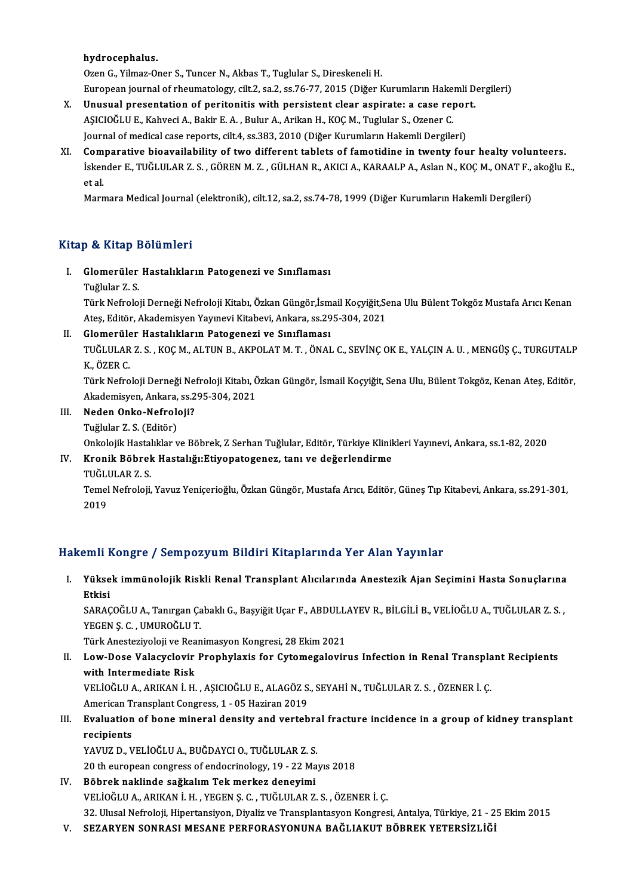#### hydrocephalus.

Ozen G., Yilmaz-Oner S., Tuncer N., Akbas T., Tuglular S., Direskeneli H.

hydrocephalus.<br>Ozen G., Yilmaz-Oner S., Tuncer N., Akbas T., Tuglular S., Direskeneli H.<br>European journal of rheumatology, cilt.2, sa.2, ss.76-77, 2015 (Diğer Kurumların Hakemli Dergileri)<br>Unusual presentation of neritenit

- Ozen G., Yilmaz-Oner S., Tuncer N., Akbas T., Tuglular S., Direskeneli H.<br>European journal of rheumatology, cilt.2, sa.2, ss.76-77, 2015 (Diğer Kurumların Hakemli D<br>X. Unusual presentation of peritonitis with persistent cl European journal of rheumatology, cilt.2, sa.2, ss.76-77, 2015 (Diğer Kurumların Hake:<br>Unusual presentation of peritonitis with persistent clear aspirate: a case rej<br>AŞICIOĞLU E., Kahveci A., Bakir E. A. , Bulur A., Arikan Unusual presentation of peritonitis with persistent clear aspirate: a case repor<br>AŞICIOĞLU E., Kahveci A., Bakir E. A. , Bulur A., Arikan H., KOÇ M., Tuglular S., Ozener C.<br>Journal of medical case reports, cilt.4, ss.383, AŞICIOĞLU E., Kahveci A., Bakir E. A. , Bulur A., Arikan H., KOÇ M., Tuglular S., Ozener C.<br>Journal of medical case reports, cilt.4, ss.383, 2010 (Diğer Kurumların Hakemli Dergileri)<br>XI. Comparative bioavailability of two
- Journal of medical case reports, cilt.4, ss.383, 2010 (Diğer Kurumların Hakemli Dergileri)<br>Comparative bioavailability of two different tablets of famotidine in twenty four healty volunteers.<br>İskender E., TUĞLULAR Z. S. , Com<br>İsken<br>et al.<br>Marr

Marmara Medical Journal (elektronik), cilt.12, sa.2, ss.74-78, 1999 (Diğer Kurumların Hakemli Dergileri)

#### Kitap & Kitap Bölümleri

- İtap & Kitap Bölümleri<br>I. Glomerüler Hastalıkların Patogenezi ve Sınıflaması<br>Tüğlüler 7 S
	- p & III.ap<br>Glomerüler<br>Tuğlular Z. S.<br>Türk Nefrele

Tuğlular Z. S.<br>Türk Nefroloji Derneği Nefroloji Kitabı, Özkan Güngör,İsmail Koçyiğit,Sena Ulu Bülent Tokgöz Mustafa Arıcı Kenan Tuğlular Z. S.<br>Türk Nefroloji Derneği Nefroloji Kitabı, Özkan Güngör,İsmail Koçyiğit,Se<br>Ateş, Editör, Akademisyen Yayınevi Kitabevi, Ankara, ss.295-304, 2021<br>Clamerülar Hastalıkların Patasanari ve Sınıflaması Türk Nefroloji Derneği Nefroloji Kitabı, Özkan Güngör,İsm<br>Ateş, Editör, Akademisyen Yayınevi Kitabevi, Ankara, ss.29<br>II. 6 **Glomerüler Hastalıkların Patogenezi ve Sınıflaması** 

Ateş, Editör, Akademisyen Yayınevi Kitabevi, Ankara, ss.295-304, 2021<br>Glomerüler Hastalıkların Patogenezi ve Sınıflaması<br>TUĞLULAR Z. S. , KOÇ M., ALTUN B., AKPOLAT M. T. , ÖNAL C., SEVİNÇ OK E., YALÇIN A. U. , MENGÜŞ Ç., T <mark>Glomerüle</mark><br>TUĞLULAR<br>K., ÖZER C.<br>Türk Nefre TUĞLULAR Z. S. , KOÇ M., ALTUN B., AKPOLAT M. T. , ÖNAL C., SEVİNÇ OK E., YALÇIN A. U. , MENGÜŞ Ç., TURGUTALP<br>K., ÖZER C.<br>Türk Nefroloji Derneği Nefroloji Kitabı, Özkan Güngör, İsmail Koçyiğit, Sena Ulu, Bülent Tokgöz, Ken

K., ÖZER C.<br>Türk Nefroloji Derneği Nefroloji Kitabı, Ö<br>Akademisyen, Ankara, ss.295-304, 2021<br>Naden Onka Nefroloji? Akademisyen, Ankara, ss. 295-304, 2021

- III. Neden Onko-Nefroloji?<br>Tuğlular Z. S. (Editör)
	-

Onkolojik Hastalıklar ve Böbrek, Z Serhan Tuğlular, Editör, Türkiye Klinikleri Yayınevi, Ankara, ss.1-82, 2020

## Tuğlular Z. S. (Editör)<br>Onkolojik Hastalıklar ve Böbrek, Z Serhan Tuğlular, Editör, Türkiye Klinil<br>IV. Kronik Böbrek Hastalığı:Etiyopatogenez, tanı ve değerlendirme<br>TUČLULAR Z S Onkolojik Hastal<br><mark>Kronik Böbrel</mark><br>TUĞLULAR Z. S.<br>Tomel Nefreleji

Kronik Böbrek Hastalığı:Etiyopatogenez, tanı ve değerlendirme<br>TUĞLULAR Z. S.<br>Temel Nefroloji, Yavuz Yeniçerioğlu, Özkan Güngör, Mustafa Arıcı, Editör, Güneş Tıp Kitabevi, Ankara, ss.291-301, TUĞLI<br>Temel<br>2019

# 2019<br>Hakemli Kongre / Sempozyum Bildiri Kitaplarında Yer Alan Yayınlar

akemli Kongre / Sempozyum Bildiri Kitaplarında Yer Alan Yayınlar<br>I. Yüksek immünolojik Riskli Renal Transplant Alıcılarında Anestezik Ajan Seçimini Hasta Sonuçlarına<br>Rikisi *ri*ii<br>Yükse<br>Etkisi<br>SARAC Yüksek immünolojik Riskli Renal Transplant Alıcılarında Anestezik Ajan Seçimini Hasta Sonuçlarına<br>Etkisi<br>SARAÇOĞLU A., Tanırgan Çabaklı G., Başyiğit Uçar F., ABDULLAYEV R., BİLGİLİ B., VELİOĞLU A., TUĞLULAR Z. S. ,<br>YECEN S

<mark>Etkisi</mark><br>SARAÇOĞLU A., Tanırgan Ça<br>YEGEN Ş. C. , UMUROĞLU T.<br>Türk Anesteriyeleji ve Bean SARAÇOĞLU A., Tanırgan Çabaklı G., Başyiğit Uçar F., ABDULL.<br>YEGEN Ş. C. , UMUROĞLU T.<br>Türk Anesteziyoloji ve Reanimasyon Kongresi, 28 Ekim 2021<br>Law Dasa Valasyolovir Branbylayis for Cytomagalayir

### YEGEN Ş. C. , UMUROĞLU T.<br>Türk Anesteziyoloji ve Reanimasyon Kongresi, 28 Ekim 2021<br>II. Low-Dose Valacyclovir Prophylaxis for Cytomegalovirus Infection in Renal Transplant Recipients<br>................................... Türk Anesteziyoloji ve Rea<br>Low-Dose Valacyclovir<br>with Intermediate Risk<br>VELIOČLILA ABIKAN LH Low-Dose Valacyclovir Prophylaxis for Cytomegalovirus Infection in Renal Transpla<br>with Intermediate Risk<br>VELİOĞLU A., ARIKAN İ.H., AŞICIOĞLU E., ALAGÖZ S., SEYAHİ N., TUĞLULAR Z. S. , ÖZENER İ. Ç.<br>American Transplant Consr

with Intermediate Risk<br>VELİOĞLU A., ARIKAN İ. H. , AŞICIOĞLU E., ALAGÖZ S., SEYAHİ N., TUĞLULAR Z. S. , ÖZENER İ. Ç. American Transplant Congress, 1 - 05 Haziran 2019

### III. Evaluation of bone mineral density and vertebral fracture incidence in a group of kidney transplant recipients

YAVUZ D., VELİOĞLU A., BUĞDAYCI O., TUĞLULAR Z. S.

20 th european congress of endocrinology, 19 - 22 Mayıs 2018

### IV. Böbrek naklinde sağkalım Tek merkez deneyimi VELİOĞLUA.,ARIKANİ.H. ,YEGENŞ.C. ,TUĞLULARZ.S. ,ÖZENERİ.Ç. Böbrek naklinde sağkalım Tek merkez deneyimi<br>VELİOĞLU A., ARIKAN İ. H. , YEGEN Ş. C. , TUĞLULAR Z. S. , ÖZENER İ. Ç.<br>32. Ulusal Nefroloji, Hipertansiyon, Diyaliz ve Transplantasyon Kongresi, Antalya, Türkiye, 21 - 25 Ekim VELİOĞLU A., ARIKAN İ. H. , YEGEN Ş. C. , TUĞLULAR Z. S. , ÖZENER İ. Ç.<br>32. Ulusal Nefroloji, Hipertansiyon, Diyaliz ve Transplantasyon Kongresi, Antalya, Türkiye, 21 - 2<br>7. SEZARYEN SONRASI MESANE PERFORASYONUNA BAĞLIAKUT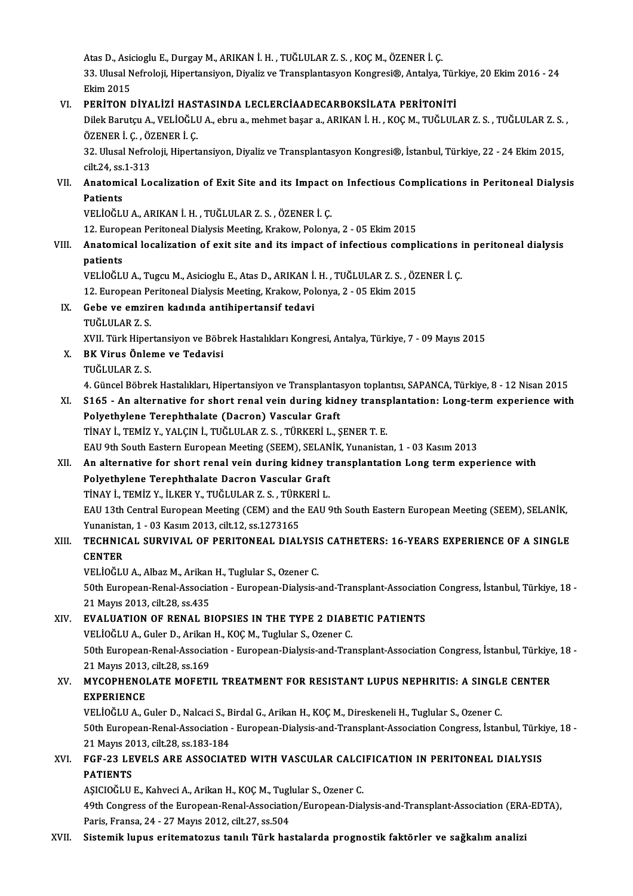Atas D., Asicioglu E., Durgay M., ARIKAN İ. H. , TUĞLULAR Z. S. , KOÇ M., ÖZENER İ. Ç.<br>22. Ulucal Nefralaji, Hinortansiyan, Divaliz ve Transplantasyon Kongresi®, Antalya Atas D., Asicioglu E., Durgay M., ARIKAN İ. H. , TUĞLULAR Z. S. , KOÇ M., ÖZENER İ. Ç.<br>33. Ulusal Nefroloji, Hipertansiyon, Diyaliz ve Transplantasyon Kongresi®, Antalya, Türkiye, 20 Ekim 2016 - 24 Atas D., Asio<br>33. Ulusal N<br>Ekim 2015<br>PERITON I 33. Ulusal Nefroloji, Hipertansiyon, Diyaliz ve Transplantasyon Kongresi®, Antalya, Tür<br>Ekim 2015<br>VI. PERİTON DİYALİZİ HASTASINDA LECLERCİAADECARBOKSİLATA PERİTONİTİ<br>Dilak Barutan A VELİQĞI HA abrusa mehmet basansa ADIYAN

Ekim 2015<br>PERİTON DİYALİZİ HASTASINDA LECLERCİAADECARBOKSİLATA PERİTONİTİ<br>Dilek Barutçu A., VELİOĞLU A., ebru a., mehmet başar a., ARIKAN İ. H. , KOÇ M., TUĞLULAR Z. S. , TUĞLULAR Z. S.<br>ÖZENER İ. G. ÖZENER İ. G PERİTON DİYALİZİ HAST<br>Dilek Barutçu A., VELİOĞLI<br>ÖZENER İ. Ç. , ÖZENER İ. Ç.<br>22. Illusal Nafralaji, Hinert Dilek Barutçu A., VELİOĞLU A., ebru a., mehmet başar a., ARIKAN İ. H. , KOÇ M., TUĞLULAR Z. S. , TUĞLULAR Z. S.<br>ÖZENER İ. Ç. , ÖZENER İ. Ç.<br>32. Ulusal Nefroloji, Hipertansiyon, Diyaliz ve Transplantasyon Kongresi®, İstanbu

ÖZENER İ. Ç. , ÖZ<br>32. Ulusal Nefro<br>cilt.24, ss.1-313<br>Anatomical Lo 32. Ulusal Nefroloji, Hipertansiyon, Diyaliz ve Transplantasyon Kongresi®, İstanbul, Türkiye, 22 - 24 Ekim 2015,<br>cilt.24, ss.1-313<br>VII. Anatomical Localization of Exit Site and its Impact on Infectious Complications in Per

## cilt.24, ss<mark>.</mark><br>Anatomi<br>Patients<br>VELIOČLI Anatomical Localization of Exit Site and its Impact<br>Patients<br>VELİOĞLU A., ARIKAN İ. H. , TUĞLULAR Z. S. , ÖZENER İ. Ç.<br>12. European Paritoneal Dialysis Mesting Krakovy Palany

Patients<br>12. European Peritoneal Dialysis Meeting, Krakow, Polonya, 2 - 05 Ekim 2015<br>12. European Peritoneal Dialysis Meeting, Krakow, Polonya, 2 - 05 Ekim 2015

### VELİOĞLU A., ARIKAN İ. H. , TUĞLULAR Z. S. , ÖZENER İ. Ç.<br>12. European Peritoneal Dialysis Meeting, Krakow, Polonya, 2 - 05 Ekim 2015<br>VIII. Anatomical localization of exit site and its impact of infectious complication 12. Europ<br><mark>Anatomi</mark><br>patients<br>ver toču Anatomical localization of exit site and its impact of infectious complications i<br>patients<br>VELİOĞLU A., Tugcu M., Asicioglu E., Atas D., ARIKAN İ. H. , TUĞLULAR Z. S. , ÖZENER İ. Ç.<br>12. European Paritoneal Dialysis Meeting

patients<br>VELİOĞLU A., Tugcu M., Asicioglu E., Atas D., ARIKAN İ. H. , TUĞLULAR Z. S. , ÖZ<br>12. European Peritoneal Dialysis Meeting, Krakow, Polonya, 2 - 05 Ekim 2015<br>Sebe ve emzinen kadında antibinertansif tedevi

12. European Peritoneal Dialysis Meeting, Krakow, Polonya, 2 - 05 Ekim 2015

### IX. Gebe ve emziren kadında antihipertansif tedavi

Gebe ve emziren kadında antihipertansif tedavi<br>TUĞLULAR Z. S.<br>XVII. Türk Hipertansiyon ve Böbrek Hastalıkları Kongresi, Antalya, Türkiye, 7 - 09 Mayıs 2015<br>PK Vinus Önlama ve Tedavisi

X. BK Virus Önleme ve Tedavisi XVII. Türk Hiper<br><mark>BK Virus Önle</mark><br>TUĞLULAR Z. S.<br>4. Güncel Böhre

4. Güncel Böbrek Hastalıkları, Hipertansiyon ve Transplantasyon toplantısı, SAPANCA, Türkiye, 8 - 12 Nisan 2015

### TUĞLULAR Z. S.<br>4. Güncel Böbrek Hastalıkları, Hipertansiyon ve Transplantasyon toplantısı, SAPANCA, Türkiye, 8 - 12 Nisan 2015<br>XI. S165 - An alternative for short renal vein during kidney transplantation: Long-term exp 4. Güncel Böbrek Hastalıkları, Hipertansiyon ve Transplanta:<br>S165 - An alternative for short renal vein during kidi<br>Polyethylene Terephthalate (Dacron) Vascular Graft<br>TinAV i TEMİZ V XALCIN İ TUĞLULAR Z S TÜRKERİLL S165 - An alternative for short renal vein during kidney transpearantly and the Terry Polyethylene Terephthalate (Dacron) Vascular Graft.<br>TİNAY İ., TEMİZ Y., YALÇIN İ., TUĞLULAR Z. S. , TÜRKERİ L., ŞENER T. E.<br>EAU 9th Sout Polyethylene Terephthalate (Dacron) Vascular Graft<br>TiNAY İ., TEMİZ Y., YALÇIN İ., TUĞLULAR Z. S. , TÜRKERİ L., ŞENER T. E.<br>EAU 9th South Eastern European Meeting (SEEM), SELANİK, Yunanistan, 1 - 03 Kasım 2013

### TİNAY İ., TEMİZ Y., YALÇIN İ., TUĞLULAR Z. S. , TÜRKERİ L., ŞENER T. E.<br>EAU 9th South Eastern European Meeting (SEEM), SELANİK, Yunanistan, 1 - 03 Kasım 2013<br>XII. An alternative for short renal vein during kidney trans EAU 9th South Eastern European Meeting (SEEM), SELAN<br>An alternative for short renal vein during kidney to<br>Polyethylene Terephthalate Dacron Vascular Graft<br>TinAV i TEMiZ V ill KER V TUČLULAR Z S TÜRKERLL An alternative for short renal vein during kidney t<br>Polyethylene Terephthalate Dacron Vascular Graft<br>TİNAY İ., TEMİZ Y., İLKER Y., TUĞLULAR Z. S. , TÜRKERİ L.<br>FAH 12th Central European Meeting (CEM) and the FAH ( Polyethylene Terephthalate Dacron Vascular Graft<br>TiNAY İ., TEMİZ Y., İLKER Y., TUĞLULAR Z. S. , TÜRKERİ L.<br>EAU 13th Central European Meeting (CEM) and the EAU 9th South Eastern European Meeting (SEEM), SELANİK,<br>Yunanistan, TİNAY İ., TEMİZ Y., İLKER Y., TUĞLULAR Z. S. , TÜRK<br>EAU 13th Central European Meeting (CEM) and the<br>Yunanistan, 1 - 03 Kasım 2013, cilt.12, ss.1273165<br>TECHNICAL, SUPVIVAL OF PERITONEAL DIAL

### EAU 13th Central European Meeting (CEM) and the EAU 9th South Eastern European Meeting (SEEM), SELANİK,<br>Yunanistan, 1 - 03 Kasım 2013, cilt.12, ss.1273165<br>XIII. TECHNICAL SURVIVAL OF PERITONEAL DIALYSIS CATHETERS: 16-Y Yunanista<br><mark>TECHNIC</mark><br>CENTER<br>VELIOČLI TECHNICAL SURVIVAL OF PERITONEAL DIALYSI:<br>CENTER<br>VELİOĞLU A., Albaz M., Arikan H., Tuglular S., Ozener C.<br>E0th European Penel Assesiation - European Dialysis (

CENTER<br>VELİOĞLU A., Albaz M., Arikan H., Tuglular S., Ozener C.<br>50th European-Renal-Association - European-Dialysis-and-Transplant-Association Congress, İstanbul, Türkiye, 18<br>21 Mayıs 2012, silt 28 *ss.* 425 VELİOĞLU A., Albaz M., Arikan<br>50th European-Renal-Associa<br>21 Mayıs 2013, cilt.28, ss.435<br>EVALUATION OF PENAL BI 50th European-Renal-Association - European-Dialysis-and-Transplant-Association<br>21 Mayıs 2013, cilt.28, ss.435<br>XIV. EVALUATION OF RENAL BIOPSIES IN THE TYPE 2 DIABETIC PATIENTS<br>VELIQÖLLA Cular D. Arikan H. KOCM. Turkular S.

21 Mayıs 2013, cilt.28, ss.435<br>EVALUATION OF RENAL BIOPSIES IN THE TYPE 2 DIABI<br>VELİOĞLU A., Guler D., Arikan H., KOÇ M., Tuglular S., Ozener C.<br>50th European Bonal Association - European Dialysis and Trai 50th EVALUATION OF RENAL BIOPSIES IN THE TYPE 2 DIABETIC PATIENTS<br>
VELIOĞLU A., Guler D., Arikan H., KOÇ M., Tuglular S., Ozener C.<br>
50th European-Renal-Association - European-Dialysis-and-Transplant-Association Congress, VELİOĞLU A., Guler D., Arikan<br>50th European-Renal-Associa<br>21 Mayıs 2013, cilt.28, ss.169<br>MYCOPUENOL ATE MOEETI 50th European-Renal-Association - European-Dialysis-and-Transplant-Association Congress, İstanbul, Türkiye<br>21 Mayıs 2013, cilt.28, ss.169<br>XV. MYCOPHENOLATE MOFETIL TREATMENT FOR RESISTANT LUPUS NEPHRITIS: A SINGLE CENTER<br>E

## 21 Mayıs 2013,<br>MYCOPHENOI<br>EXPERIENCE<br>VELİOČULA G MYCOPHENOLATE MOFETIL TREATMENT FOR RESISTANT LUPUS NEPHRITIS: A SINGLI<br>EXPERIENCE<br>VELİOĞLU A., Guler D., Nalcaci S., Birdal G., Arikan H., KOÇ M., Direskeneli H., Tuglular S., Ozener C.<br>E0th European Banal Assosiation - E

EXPERIENCE<br>19th Furopean-Renal-Association-European-Association, Direskeneli H., Tuglular S., Ozener C.<br>18 - S0th European-Renal-Association - European-Dialysis-and-Transplant-Association Congress, İstanbul, Türkiye, VELIOĞLU A., Guler D., Nalcaci S., Birdal G., Arikan H., KOÇ M., Direskeneli H., Tuglular S., Ozener C. 21 Mayıs 2013, cilt.28, ss.183-184

### XVI. FGF-23 LEVELS ARE ASSOCIATED WITH VASCULAR CALCIFICATION IN PERITONEAL DIALYSIS<br>PATIENTS FGF-23 LEVELS ARE ASSOCIATED WITH VASCULAR CALCI<br>PATIENTS<br>AŞICIOĞLU E., Kahveci A., Arikan H., KOÇ M., Tuglular S., Ozener C.<br>40th Congress of the Euronean Benel Association (Euronean Diel

49th Congress of the European-Renal-Association/European-Dialysis-and-Transplant-Association (ERA-EDTA), Paris, Fransa, 24 - 27 Mayıs 2012, cilt.27, ss.504 AŞICIOĞLU E., Kahveci A., Arikan H., KOÇ M., Tugl<br>49th Congress of the European-Renal-Associatio<br>Paris, Fransa, 24 - 27 Mayıs 2012, cilt.27, ss.504<br>Sistemik kunus, enitematerus tanık Türk bes

#### XVII. Sistemik lupus eritematozus tanılı Türk hastalarda prognostik faktörler ve sağkalım analizi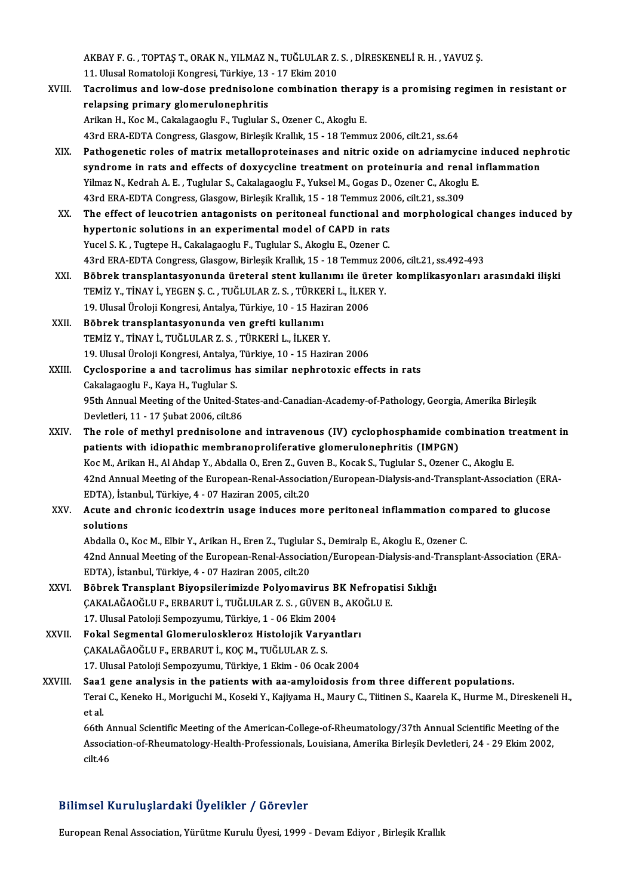AKBAY F. G. , TOPTAŞ T., ORAK N., YILMAZ N., TUĞLULAR Z. S. , DİRESKENELİ R. H. , YAVUZ Ş.<br>11. Ulucal Romatalaji Kangresi, Türkiye, 12., 17. Ekim 2010 11.<br>AKBAY F. G. , TOPTAŞ T., ORAK N., YILMAZ N., TUĞLULAR Z.<br>Tasralimus and laut dasa pradnisalara sambinatian

- AKBAY F. G. , TOPTAŞ T., ORAK N., YILMAZ N., TUĞLULAR Z. S. , DİRESKENELİ R. H. , YAVUZ Ş.<br>11. Ulusal Romatoloji Kongresi, Türkiye, 13 17 Ekim 2010<br>XVIII. Tacrolimus and low-dose prednisolone combination therapy is a 11. Ulusal Romatoloji Kongresi, Türkiye, 13 - 17 Ekim 2010<br>Tacrolimus and low-dose prednisolone combination thera<sub>l</sub><br>relapsing primary glomerulonephritis<br>Arikan H., Koc M., Cakalagaoglu F., Tuglular S., Ozener C., Akoglu E Tacrolimus and low-dose prednisolone combination thera<br>relapsing primary glomerulonephritis<br>Arikan H., Koc M., Cakalagaoglu F., Tuglular S., Ozener C., Akoglu E.<br>42rd EPA EDTA Congress Classow Birlosik Krallık 15, 19 Temm 43rd ERA-EDTA Congress, Glasgow, Birleşik Krallık, 15 - 18 Temmuz 2006, cilt.21, ss.64 Arikan H., Koc M., Cakalagaoglu F., Tuglular S., Ozener C., Akoglu E.<br>43rd ERA-EDTA Congress, Glasgow, Birleşik Krallık, 15 - 18 Temmuz 2006, cilt.21, ss.64<br>XIX. Pathogenetic roles of matrix metalloproteinases and nitric o
- 43rd ERA-EDTA Congress, Glasgow, Birleşik Krallık, 15 18 Temmuz 2006, cilt.21, ss.64<br>Pathogenetic roles of matrix metalloproteinases and nitric oxide on adriamycine induced nepl<br>syndrome in rats and effects of doxycyclin Pathogenetic roles of matrix metalloproteinases and nitric oxide on adriamycine<br>syndrome in rats and effects of doxycycline treatment on proteinuria and renal is<br>Yilmaz N., Kedrah A. E. , Tuglular S., Cakalagaoglu F., Yuks syndrome in rats and effects of doxycycline treatment on proteinuria and rena<br>Yilmaz N., Kedrah A. E. , Tuglular S., Cakalagaoglu F., Yuksel M., Gogas D., Ozener C., Akoglu<br>43rd ERA-EDTA Congress, Glasgow, Birleşik Krallık Yilmaz N., Kedrah A. E. , Tuglular S., Cakalagaoglu F., Yuksel M., Gogas D., Ozener C., Akoglu E.<br>43rd ERA-EDTA Congress, Glasgow, Birleşik Krallık, 15 - 18 Temmuz 2006, cilt.21, ss.309<br>XX. The effect of leucotrien ant
- 43rd ERA-EDTA Congress, Glasgow, Birleşik Krallık, 15 18 Temmuz 20<br>The effect of leucotrien antagonists on peritoneal functional an<br>hypertonic solutions in an experimental model of CAPD in rats<br>Yugal S. K., Tuztare H. Ca Yucel S. K., Tugtepe H., Cakalagaoglu F., Tuglular S., Akoglu E., Ozener C. hypertonic solutions in an experimental model of CAPD in rats<br>Yucel S. K. , Tugtepe H., Cakalagaoglu F., Tuglular S., Akoglu E., Ozener C.<br>43rd ERA-EDTA Congress, Glasgow, Birleşik Krallık, 15 - 18 Temmuz 2006, cilt.21, ss
- XXI. Böbrek transplantasyonunda üreteral stent kullanımı ile üreter komplikasyonları arasındaki ilişki 43rd ERA-EDTA Congress, Glasgow, Birleşik Krallık, 15 - 18 Temmuz 20<br>Böbrek transplantasyonunda üreteral stent kullanımı ile ürete<br>TEMİZ Y., TİNAY İ., YEGEN Ş. C. , TUĞLULAR Z. S. , TÜRKERİ L., İLKER Y.<br>19 Hlusel Üreleji K Böbrek transplantasyonunda üreteral stent kullanımı ile ür<br>TEMİZ Y., TİNAY İ., YEGEN Ş. C. , TUĞLULAR Z. S. , TÜRKERİ L., İLKEI<br>19. Ulusal Üroloji Kongresi, Antalya, Türkiye, 10 - 15 Haziran 2006<br>Böhnek transplantasyonunda TEMİZ Y., TİNAY İ., YEGEN Ş. C. , TUĞLULAR Z. S. , TÜRKE<br>19. Ulusal Üroloji Kongresi, Antalya, Türkiye, 10 - 15 Haz<br>XXII. Böbrek transplantasyonunda ven grefti kullanımı<br>TEMİZ Y. TİNAY İ. TUĞLULAR Z. S. TÜRKERLL, İLKERA
- 19. Ulusal Üroloji Kongresi, Antalya, Türkiye, 10 15 Haziran 2006<br>Böbrek transplantasyonunda ven grefti kullanımı<br>TEMİZ Y., TİNAY İ., TUĞLULAR Z. S. , TÜRKERİ L., İLKER Y. Böbrek transplantasyonunda ven grefti kullanımı<br>TEMİZ Y., TİNAY İ., TUĞLULAR Z. S. , TÜRKERİ L., İLKER Y.<br>19. Ulusal Üroloji Kongresi, Antalya, Türkiye, 10 - 15 Haziran 2006<br>Gyalosponina a and taspolimus baş similar pophra

XXIII. Cyclosporine a and tacrolimus has similar nephrotoxic effects in rats<br>Cakalagaoglu F., Kaya H., Tuglular S. 19. Ulusal Üroloji Kongresi, Antalya,<br>**Cyclosporine a and tacrolimus h.<br>Cakalagaoglu F., Kaya H., Tuglular S.**<br>95th Annual Meeting of the United S. Cyclosporine a and tacrolimus has similar nephrotoxic effects in rats<br>Cakalagaoglu F., Kaya H., Tuglular S.<br>95th Annual Meeting of the United-States-and-Canadian-Academy-of-Pathology, Georgia, Amerika Birleşik<br>Devletleri 1 Cakalagaoglu F., Kaya H., Tuglular S.<br>95th Annual Meeting of the United-Sta<br>Devletleri, 11 - 17 Şubat 2006, cilt.86<br>The role of methyl prednisolone. 95th Annual Meeting of the United-States-and-Canadian-Academy-of-Pathology, Georgia, Amerika Birleşik<br>Devletleri, 11 - 17 Şubat 2006, cilt.86<br>XXIV. The role of methyl prednisolone and intravenous (IV) cyclophosphamide comb

- Devletleri, 11 17 Şubat 2006, cilt.86<br>The role of methyl prednisolone and intravenous (IV) cyclophosphamide con<br>patients with idiopathic membranoproliferative glomerulonephritis (IMPGN)<br>KeeM, Arikan H. Al Abdan Y. Abdall The role of methyl prednisolone and intravenous (IV) cyclophosphamide combination tr<br>patients with idiopathic membranoproliferative glomerulonephritis (IMPGN)<br>Koc M., Arikan H., Al Ahdap Y., Abdalla O., Eren Z., Guven B., patients with idiopathic membranoproliferative glomerulonephritis (IMPGN)<br>Koc M., Arikan H., Al Ahdap Y., Abdalla O., Eren Z., Guven B., Kocak S., Tuglular S., Ozener C., Akoglu E.<br>42nd Annual Meeting of the European-Renal Koc M., Arikan H., Al Ahdap Y., Abdalla O., Eren Z., Guv<br>42nd Annual Meeting of the European-Renal-Associat<br>EDTA), İstanbul, Türkiye, 4 - 07 Haziran 2005, cilt.20<br>Agute and chronia isodeytrin usage induses me
- XXV. Acute and chronic icodextrin usage induces more peritoneal inflammation compared to glucose solutions EDTA), İsta<br>Acute and<br>solutions<br>Abdella O Acute and chronic icodextrin usage induces more peritoneal inflammation com<br>solutions<br>Abdalla O., Koc M., Elbir Y., Arikan H., Eren Z., Tuglular S., Demiralp E., Akoglu E., Ozener C.<br>42nd Annual Meeting of the European Pen

42nd Annual Meeting of the European-Renal-Association/European-Dialysis-and-Transplant-Association (ERA-EDTA), İstanbul, Türkiye, 4 - 07 Haziran 2005, cilt.20 Abdalla O., Koc M., Elbir Y., Arikan H., Eren Z., Tuglular<br>42nd Annual Meeting of the European-Renal-Associat<br>EDTA), İstanbul, Türkiye, 4 - 07 Haziran 2005, cilt.20<br>Böhnek Transplant Biyansilarimirdə Balyamayı 42nd Annual Meeting of the European-Renal-Association/European-Dialysis-and-T<br>EDTA), İstanbul, Türkiye, 4 - 07 Haziran 2005, cilt.20<br>XXVI. Böbrek Transplant Biyopsilerimizde Polyomavirus BK Nefropatisi Sıklığı<br>CAKALAĞAQĞLU

- EDTA), İstanbul, Türkiye, 4 07 Haziran 2005, cilt.20<br>Böbrek Transplant Biyopsilerimizde Polyomavirus BK Nefropat<br>ÇAKALAĞAOĞLU F., ERBARUT İ., TUĞLULAR Z. S. , GÜVEN B., AKOĞLU E.<br>17 Hlugal Patalaji Samnewnumu Türkiye 1 -Böbrek Transplant Biyopsilerimizde Polyomavirus B<br>ÇAKALAĞAOĞLU F., ERBARUT İ., TUĞLULAR Z. S. , GÜVEN B<br>17. Ulusal Patoloji Sempozyumu, Türkiye, 1 - 06 Ekim 2004<br>Fakal Segmental Clamerulesklereg Histolojik Verven ÇAKALAĞAOĞLU F., ERBARUT İ., TUĞLULAR Z. S. , GÜVEN B., AKOĞLU E.<br>17. Ulusal Patoloji Sempozyumu, Türkiye, 1 - 06 Ekim 2004<br>XXVII. Fokal Segmental Glomeruloskleroz Histolojik Varyantları
- 17. Ulusal Patoloji Sempozyumu, Türkiye, 1 06 Ekim 200<br>Fokal Segmental Glomeruloskleroz Histolojik Vary<br>ÇAKALAĞAOĞLU F., ERBARUT İ., KOÇ M., TUĞLULAR Z. S.<br>17. Ulusal Patoloji Sempozyumu, Türkiye, 1 Ekim 06 Oca Fokal Segmental Glomeruloskleroz Histolojik Varyantları<br>ÇAKALAĞAOĞLU F., ERBARUT İ., KOÇ M., TUĞLULAR Z. S.<br>17. Ulusal Patoloji Sempozyumu, Türkiye, 1 Ekim - 06 Ocak 2004<br>Saa1. gana analysis in the patients with as amyleid
- CAKALAĞAOĞLU F., ERBARUT İ., KOÇ M., TUĞLULAR Z. S.<br>17. Ulusal Patoloji Sempozyumu, Türkiye, 1 Ekim 06 Ocak 2004<br>XXVIII. Saa1 gene analysis in the patients with aa-amyloidosis from three different populations.<br>Tersi C. K 17. Ulusal Patoloji Sempozyumu, Türkiye, 1 Ekim - 06 Ocak 2004<br>Saa1 gene analysis in the patients with aa-amyloidosis from three different populations.<br>Terai C., Keneko H., Moriguchi M., Koseki Y., Kajiyama H., Maury C., T Saa1<br>Terai<br>et al.<br>66th Terai C., Keneko H., Moriguchi M., Koseki Y., Kajiyama H., Maury C., Tiitinen S., Kaarela K., Hurme M., Direskeneli<br>et al.<br>66th Annual Scientific Meeting of the American-College-of-Rheumatology/37th Annual Scientific Meeti

et al.<br>66th Annual Scientific Meeting of the American-College-of-Rheumatology/37th Annual Scientific Meeting of th<br>Association-of-Rheumatology-Health-Professionals, Louisiana, Amerika Birleşik Devletleri, 24 - 29 Ekim 2002 66th A<br>Associa<br>cilt.46

# Bilimsel KuruluşlardakiÜyelikler / Görevler

European Renal Association, Yürütme Kurulu Üyesi, 1999 - Devam Ediyor , Birleşik Krallık